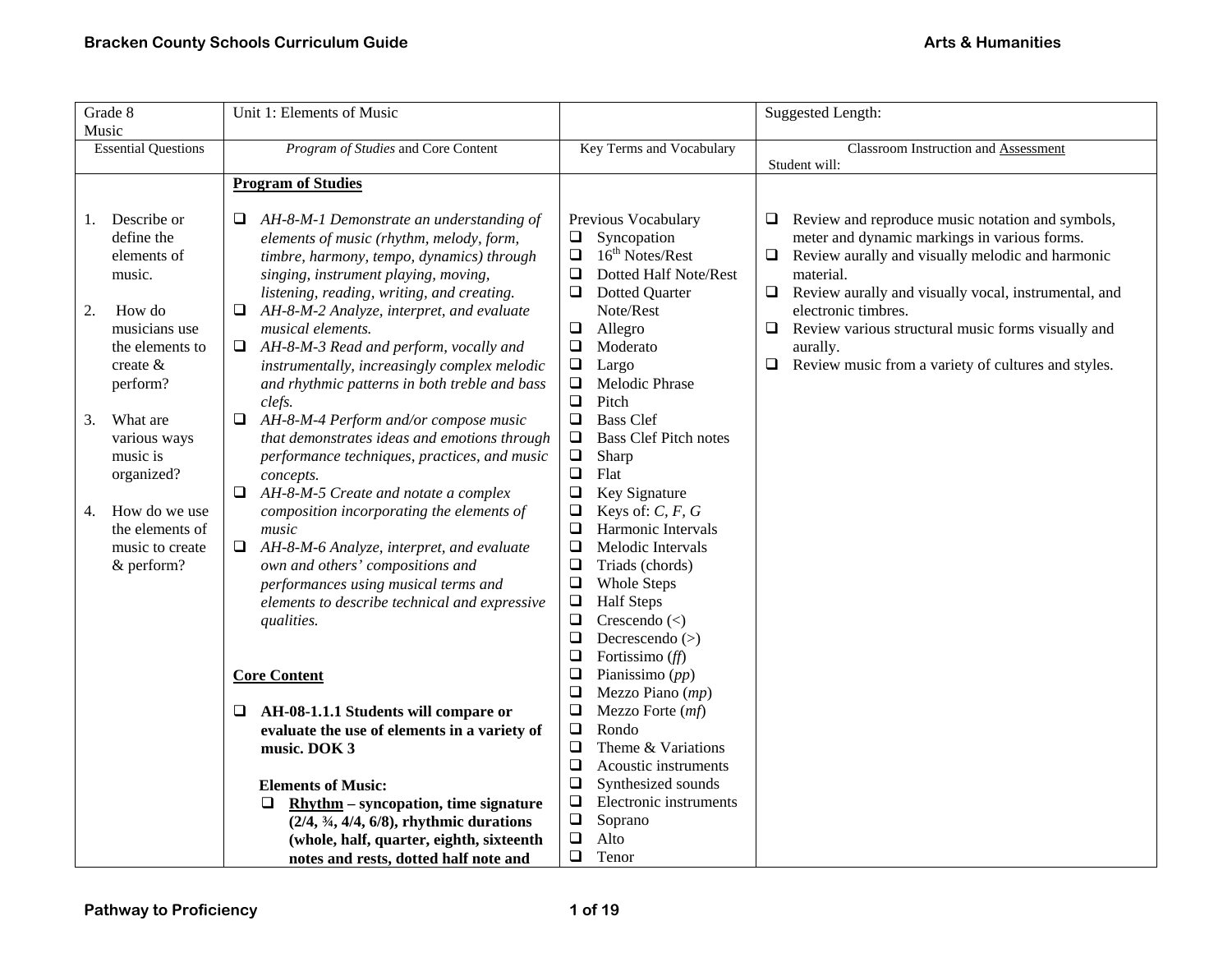| Grade 8<br>Music                                                                                                                                                                                                                                                               | Unit 1: Elements of Music                                                                                                                                                                                                                                                                                                                                                                                                                                                                                                                                                                                                                                                                                                                                                                                                                                                                                                                                                                                                                                                                                                                                                                                                                                     |                                                                                                                                                                                                                                                                                                                                                                                                                                                                                                                                                                                                                                                                                                                                                                                                                                                                                                                                                                                                                  | <b>Suggested Length:</b>                                                                                                                                                                                                                                                                                                                                                                                     |
|--------------------------------------------------------------------------------------------------------------------------------------------------------------------------------------------------------------------------------------------------------------------------------|---------------------------------------------------------------------------------------------------------------------------------------------------------------------------------------------------------------------------------------------------------------------------------------------------------------------------------------------------------------------------------------------------------------------------------------------------------------------------------------------------------------------------------------------------------------------------------------------------------------------------------------------------------------------------------------------------------------------------------------------------------------------------------------------------------------------------------------------------------------------------------------------------------------------------------------------------------------------------------------------------------------------------------------------------------------------------------------------------------------------------------------------------------------------------------------------------------------------------------------------------------------|------------------------------------------------------------------------------------------------------------------------------------------------------------------------------------------------------------------------------------------------------------------------------------------------------------------------------------------------------------------------------------------------------------------------------------------------------------------------------------------------------------------------------------------------------------------------------------------------------------------------------------------------------------------------------------------------------------------------------------------------------------------------------------------------------------------------------------------------------------------------------------------------------------------------------------------------------------------------------------------------------------------|--------------------------------------------------------------------------------------------------------------------------------------------------------------------------------------------------------------------------------------------------------------------------------------------------------------------------------------------------------------------------------------------------------------|
| <b>Essential Questions</b>                                                                                                                                                                                                                                                     | Program of Studies and Core Content                                                                                                                                                                                                                                                                                                                                                                                                                                                                                                                                                                                                                                                                                                                                                                                                                                                                                                                                                                                                                                                                                                                                                                                                                           | Key Terms and Vocabulary                                                                                                                                                                                                                                                                                                                                                                                                                                                                                                                                                                                                                                                                                                                                                                                                                                                                                                                                                                                         | <b>Classroom Instruction and Assessment</b><br>Student will:                                                                                                                                                                                                                                                                                                                                                 |
|                                                                                                                                                                                                                                                                                | <b>Program of Studies</b>                                                                                                                                                                                                                                                                                                                                                                                                                                                                                                                                                                                                                                                                                                                                                                                                                                                                                                                                                                                                                                                                                                                                                                                                                                     |                                                                                                                                                                                                                                                                                                                                                                                                                                                                                                                                                                                                                                                                                                                                                                                                                                                                                                                                                                                                                  |                                                                                                                                                                                                                                                                                                                                                                                                              |
| Describe or<br>1.<br>define the<br>elements of<br>music.<br>How do<br>2.<br>musicians use<br>the elements to<br>create $\&$<br>perform?<br>What are<br>3.<br>various ways<br>music is<br>organized?<br>How do we use<br>4.<br>the elements of<br>music to create<br>& perform? | AH-8-M-1 Demonstrate an understanding of<br>⊔<br>elements of music (rhythm, melody, form,<br>timbre, harmony, tempo, dynamics) through<br>singing, instrument playing, moving,<br>listening, reading, writing, and creating.<br>AH-8-M-2 Analyze, interpret, and evaluate<br>musical elements.<br>AH-8-M-3 Read and perform, vocally and<br>u.<br>instrumentally, increasingly complex melodic<br>and rhythmic patterns in both treble and bass<br>clefs.<br>$\Box$<br>AH-8-M-4 Perform and/or compose music<br>that demonstrates ideas and emotions through<br>performance techniques, practices, and music<br>concepts.<br>AH-8-M-5 Create and notate a complex<br>$\Box$<br>composition incorporating the elements of<br>music<br>AH-8-M-6 Analyze, interpret, and evaluate<br>own and others' compositions and<br>performances using musical terms and<br>elements to describe technical and expressive<br>qualities.<br><b>Core Content</b><br>AH-08-1.1.1 Students will compare or<br>⊔<br>evaluate the use of elements in a variety of<br>music. DOK 3<br><b>Elements of Music:</b><br>$R$ hythm – syncopation, time signature<br>⊔<br>$(2/4, \frac{3}{4}, \frac{4}{4}, \frac{6}{8})$ , rhythmic durations<br>(whole, half, quarter, eighth, sixteenth | Previous Vocabulary<br>Syncopation<br>$\Box$<br>16 <sup>th</sup> Notes/Rest<br>$\Box$<br>$\Box$<br>Dotted Half Note/Rest<br><b>Dotted Quarter</b><br>$\Box$<br>Note/Rest<br>$\Box$<br>Allegro<br>$\Box$<br>Moderato<br>$\Box$<br>Largo<br>$\Box$<br>Melodic Phrase<br>$\Box$<br>Pitch<br>$\Box$<br><b>Bass Clef</b><br>$\Box$<br><b>Bass Clef Pitch notes</b><br>$\Box$<br>Sharp<br>$\Box$<br>Flat<br>$\Box$<br>Key Signature<br>Keys of: $C, F, G$<br>$\Box$<br>$\Box$<br>Harmonic Intervals<br>$\Box$<br>Melodic Intervals<br>$\Box$<br>Triads (chords)<br>$\Box$<br><b>Whole Steps</b><br>$\Box$<br><b>Half Steps</b><br>$\Box$<br>Crescendo $(\le)$<br>$\Box$<br>Decrescendo $(>)$<br>$\Box$<br>Fortissimo $(ff)$<br>$\Box$<br>Pianissimo $(pp)$<br>$\Box$<br>Mezzo Piano (mp)<br>$\Box$<br>Mezzo Forte (mf)<br>$\Box$<br>Rondo<br>$\Box$<br>Theme & Variations<br>$\Box$<br>Acoustic instruments<br>$\Box$<br>Synthesized sounds<br>$\Box$<br>Electronic instruments<br>$\Box$<br>Soprano<br>$\Box$<br>Alto | Review and reproduce music notation and symbols,<br>⊔<br>meter and dynamic markings in various forms.<br>Review aurally and visually melodic and harmonic<br>$\Box$<br>material.<br>$\Box$<br>Review aurally and visually vocal, instrumental, and<br>electronic timbres.<br>Review various structural music forms visually and<br>❏<br>aurally.<br>Review music from a variety of cultures and styles.<br>⊔ |
|                                                                                                                                                                                                                                                                                | notes and rests, dotted half note and                                                                                                                                                                                                                                                                                                                                                                                                                                                                                                                                                                                                                                                                                                                                                                                                                                                                                                                                                                                                                                                                                                                                                                                                                         | $\Box$<br>Tenor                                                                                                                                                                                                                                                                                                                                                                                                                                                                                                                                                                                                                                                                                                                                                                                                                                                                                                                                                                                                  |                                                                                                                                                                                                                                                                                                                                                                                                              |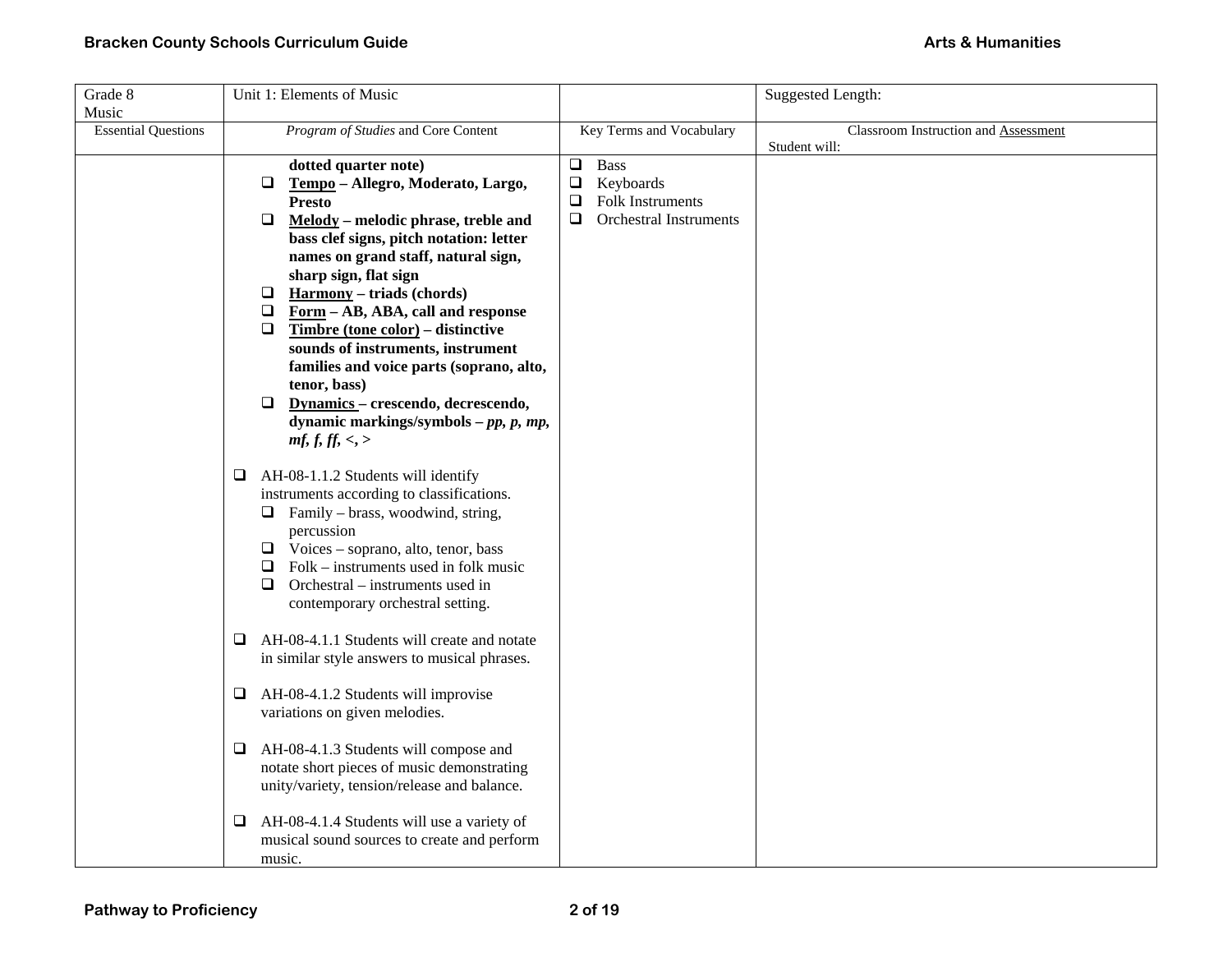| Grade 8                    | Unit 1: Elements of Music                                           |                                              | <b>Suggested Length:</b>             |
|----------------------------|---------------------------------------------------------------------|----------------------------------------------|--------------------------------------|
| Music                      |                                                                     |                                              |                                      |
| <b>Essential Questions</b> | Program of Studies and Core Content                                 | Key Terms and Vocabulary                     | Classroom Instruction and Assessment |
|                            |                                                                     |                                              | Student will:                        |
|                            | dotted quarter note)<br>Tempo - Allegro, Moderato, Largo,<br>$\Box$ | <b>Bass</b><br>$\Box$<br>$\Box$<br>Keyboards |                                      |
|                            | <b>Presto</b>                                                       | $\Box$<br>Folk Instruments                   |                                      |
|                            | $\Box$<br>Melody - melodic phrase, treble and                       | <b>Orchestral Instruments</b><br>$\Box$      |                                      |
|                            | bass clef signs, pitch notation: letter                             |                                              |                                      |
|                            | names on grand staff, natural sign,                                 |                                              |                                      |
|                            | sharp sign, flat sign                                               |                                              |                                      |
|                            | <b>Harmony</b> – triads (chords)<br>$\Box$                          |                                              |                                      |
|                            | $\Box$ Form - AB, ABA, call and response                            |                                              |                                      |
|                            | $\Box$<br>Timbre (tone color) – distinctive                         |                                              |                                      |
|                            | sounds of instruments, instrument                                   |                                              |                                      |
|                            | families and voice parts (soprano, alto,                            |                                              |                                      |
|                            | tenor, bass)                                                        |                                              |                                      |
|                            | Dynamics - crescendo, decrescendo,<br>$\Box$                        |                                              |                                      |
|                            | dynamic markings/symbols $-pp$ , $p$ , $mp$ ,                       |                                              |                                      |
|                            | mf, f, ff, <, >                                                     |                                              |                                      |
|                            | AH-08-1.1.2 Students will identify<br>0                             |                                              |                                      |
|                            | instruments according to classifications.                           |                                              |                                      |
|                            | $\Box$ Family – brass, woodwind, string,                            |                                              |                                      |
|                            | percussion                                                          |                                              |                                      |
|                            | $\Box$ Voices – soprano, alto, tenor, bass                          |                                              |                                      |
|                            | Folk – instruments used in folk music<br>Q.                         |                                              |                                      |
|                            | Orchestral – instruments used in<br>$\Box$                          |                                              |                                      |
|                            | contemporary orchestral setting.                                    |                                              |                                      |
|                            | AH-08-4.1.1 Students will create and notate<br>Q.                   |                                              |                                      |
|                            | in similar style answers to musical phrases.                        |                                              |                                      |
|                            |                                                                     |                                              |                                      |
|                            | AH-08-4.1.2 Students will improvise<br>❏                            |                                              |                                      |
|                            | variations on given melodies.                                       |                                              |                                      |
|                            |                                                                     |                                              |                                      |
|                            | AH-08-4.1.3 Students will compose and<br>0                          |                                              |                                      |
|                            | notate short pieces of music demonstrating                          |                                              |                                      |
|                            | unity/variety, tension/release and balance.                         |                                              |                                      |
|                            | AH-08-4.1.4 Students will use a variety of<br>❏                     |                                              |                                      |
|                            | musical sound sources to create and perform                         |                                              |                                      |
|                            | music.                                                              |                                              |                                      |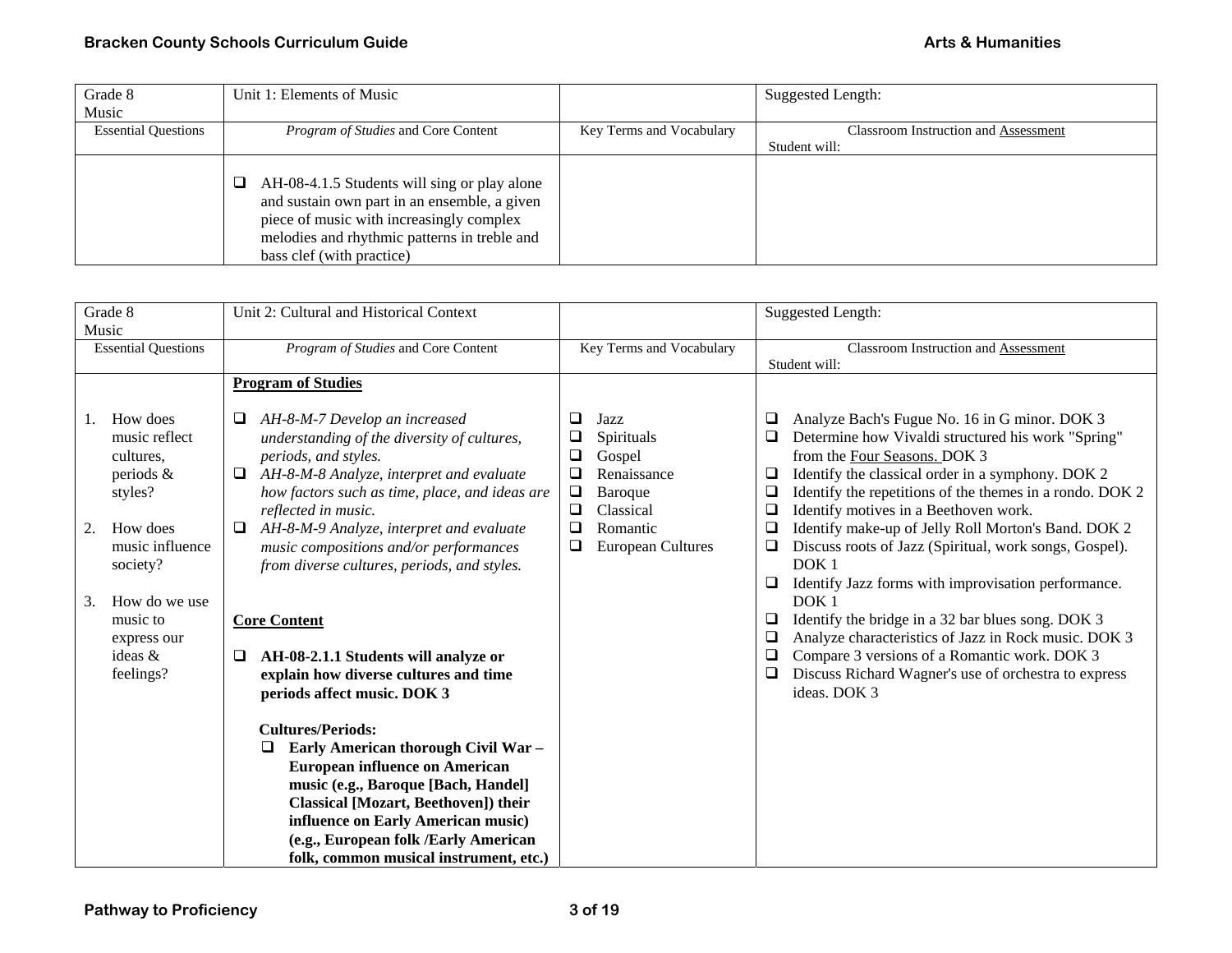| Grade 8                    | Unit 1: Elements of Music                                                                                                                                                                                                  |                          | Suggested Length:                    |
|----------------------------|----------------------------------------------------------------------------------------------------------------------------------------------------------------------------------------------------------------------------|--------------------------|--------------------------------------|
| Music                      |                                                                                                                                                                                                                            |                          |                                      |
| <b>Essential Questions</b> | <i>Program of Studies</i> and Core Content                                                                                                                                                                                 | Key Terms and Vocabulary | Classroom Instruction and Assessment |
|                            |                                                                                                                                                                                                                            |                          | Student will:                        |
|                            | AH-08-4.1.5 Students will sing or play alone<br>⊔<br>and sustain own part in an ensemble, a given<br>piece of music with increasingly complex<br>melodies and rhythmic patterns in treble and<br>bass clef (with practice) |                          |                                      |

| Grade 8<br>Music                                                                                                   | Unit 2: Cultural and Historical Context                                                                                                                                                                                                                                                                                                                        |                                                                                                                                                          | Suggested Length:                                                                                                                                                                                                                                                                                                                                                                                                                                                                                                                      |
|--------------------------------------------------------------------------------------------------------------------|----------------------------------------------------------------------------------------------------------------------------------------------------------------------------------------------------------------------------------------------------------------------------------------------------------------------------------------------------------------|----------------------------------------------------------------------------------------------------------------------------------------------------------|----------------------------------------------------------------------------------------------------------------------------------------------------------------------------------------------------------------------------------------------------------------------------------------------------------------------------------------------------------------------------------------------------------------------------------------------------------------------------------------------------------------------------------------|
| <b>Essential Questions</b>                                                                                         | Program of Studies and Core Content                                                                                                                                                                                                                                                                                                                            | Key Terms and Vocabulary                                                                                                                                 | <b>Classroom Instruction and Assessment</b><br>Student will:                                                                                                                                                                                                                                                                                                                                                                                                                                                                           |
|                                                                                                                    | <b>Program of Studies</b>                                                                                                                                                                                                                                                                                                                                      |                                                                                                                                                          |                                                                                                                                                                                                                                                                                                                                                                                                                                                                                                                                        |
| How does<br>music reflect<br>cultures.<br>periods $\&$<br>styles?<br>How does<br>2.<br>music influence<br>society? | AH-8-M-7 Develop an increased<br>understanding of the diversity of cultures,<br>periods, and styles.<br>AH-8-M-8 Analyze, interpret and evaluate<br>how factors such as time, place, and ideas are<br>reflected in music.<br>AH-8-M-9 Analyze, interpret and evaluate<br>music compositions and/or performances<br>from diverse cultures, periods, and styles. | ❏<br>Jazz<br>Spirituals<br>❏<br>❏<br>Gospel<br>Renaissance<br>□<br>❏<br>Baroque<br>$\Box$<br>Classical<br>❏<br>Romantic<br>❏<br><b>European Cultures</b> | Analyze Bach's Fugue No. 16 in G minor. DOK 3<br>□<br>Determine how Vivaldi structured his work "Spring"<br>$\Box$<br>from the Four Seasons. DOK 3<br>Identify the classical order in a symphony. DOK 2<br>⊔<br>Identify the repetitions of the themes in a rondo. DOK 2<br>⊔<br>Identify motives in a Beethoven work.<br>□<br>Identify make-up of Jelly Roll Morton's Band. DOK 2<br>❏<br>Discuss roots of Jazz (Spiritual, work songs, Gospel).<br>❏<br>DOK <sub>1</sub><br>Identify Jazz forms with improvisation performance.<br>□ |
| How do we use<br>3.<br>music to<br>express our<br>ideas &<br>feelings?                                             | <b>Core Content</b><br>AH-08-2.1.1 Students will analyze or<br>❏<br>explain how diverse cultures and time<br>periods affect music. DOK 3                                                                                                                                                                                                                       |                                                                                                                                                          | DOK <sub>1</sub><br>Identify the bridge in a 32 bar blues song. DOK 3<br>❏<br>Analyze characteristics of Jazz in Rock music. DOK 3<br>□<br>Compare 3 versions of a Romantic work. DOK 3<br>$\Box$<br>$\Box$<br>Discuss Richard Wagner's use of orchestra to express<br>ideas. DOK 3                                                                                                                                                                                                                                                    |
|                                                                                                                    | <b>Cultures/Periods:</b><br>Early American thorough Civil War -<br>□<br><b>European influence on American</b><br>music (e.g., Baroque [Bach, Handel]<br>Classical [Mozart, Beethoven]) their<br>influence on Early American music)<br>(e.g., European folk /Early American<br>folk, common musical instrument, etc.)                                           |                                                                                                                                                          |                                                                                                                                                                                                                                                                                                                                                                                                                                                                                                                                        |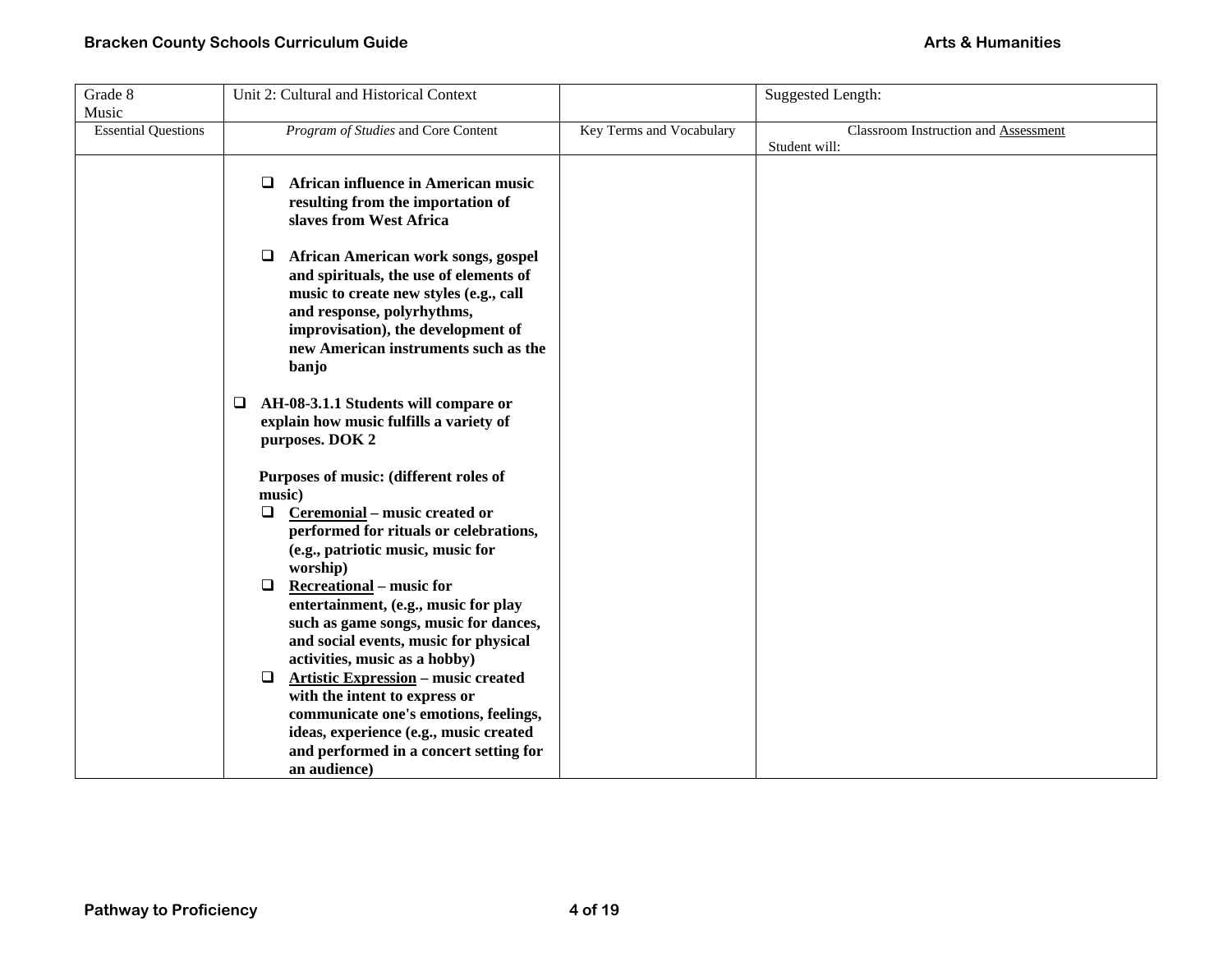| Grade 8                    | Unit 2: Cultural and Historical Context                                                                                                                                                                                                                                                                                                                                                                                                                                                                                                                                                                                              |                          | Suggested Length:                    |
|----------------------------|--------------------------------------------------------------------------------------------------------------------------------------------------------------------------------------------------------------------------------------------------------------------------------------------------------------------------------------------------------------------------------------------------------------------------------------------------------------------------------------------------------------------------------------------------------------------------------------------------------------------------------------|--------------------------|--------------------------------------|
| Music                      |                                                                                                                                                                                                                                                                                                                                                                                                                                                                                                                                                                                                                                      |                          |                                      |
| <b>Essential Questions</b> | Program of Studies and Core Content                                                                                                                                                                                                                                                                                                                                                                                                                                                                                                                                                                                                  | Key Terms and Vocabulary | Classroom Instruction and Assessment |
|                            |                                                                                                                                                                                                                                                                                                                                                                                                                                                                                                                                                                                                                                      |                          | Student will:                        |
|                            | African influence in American music<br>□<br>resulting from the importation of<br>slaves from West Africa                                                                                                                                                                                                                                                                                                                                                                                                                                                                                                                             |                          |                                      |
|                            | $\Box$<br>African American work songs, gospel<br>and spirituals, the use of elements of<br>music to create new styles (e.g., call<br>and response, polyrhythms,<br>improvisation), the development of<br>new American instruments such as the<br>banjo                                                                                                                                                                                                                                                                                                                                                                               |                          |                                      |
|                            | AH-08-3.1.1 Students will compare or<br>$\Box$<br>explain how music fulfills a variety of<br>purposes. DOK 2                                                                                                                                                                                                                                                                                                                                                                                                                                                                                                                         |                          |                                      |
|                            | Purposes of music: (different roles of<br>music)<br>Ceremonial – music created or<br>$\Box$<br>performed for rituals or celebrations,<br>(e.g., patriotic music, music for<br>worship)<br><b>Recreational – music for</b><br>$\Box$<br>entertainment, (e.g., music for play<br>such as game songs, music for dances,<br>and social events, music for physical<br>activities, music as a hobby)<br><b>Artistic Expression</b> – music created<br>$\Box$<br>with the intent to express or<br>communicate one's emotions, feelings,<br>ideas, experience (e.g., music created<br>and performed in a concert setting for<br>an audience) |                          |                                      |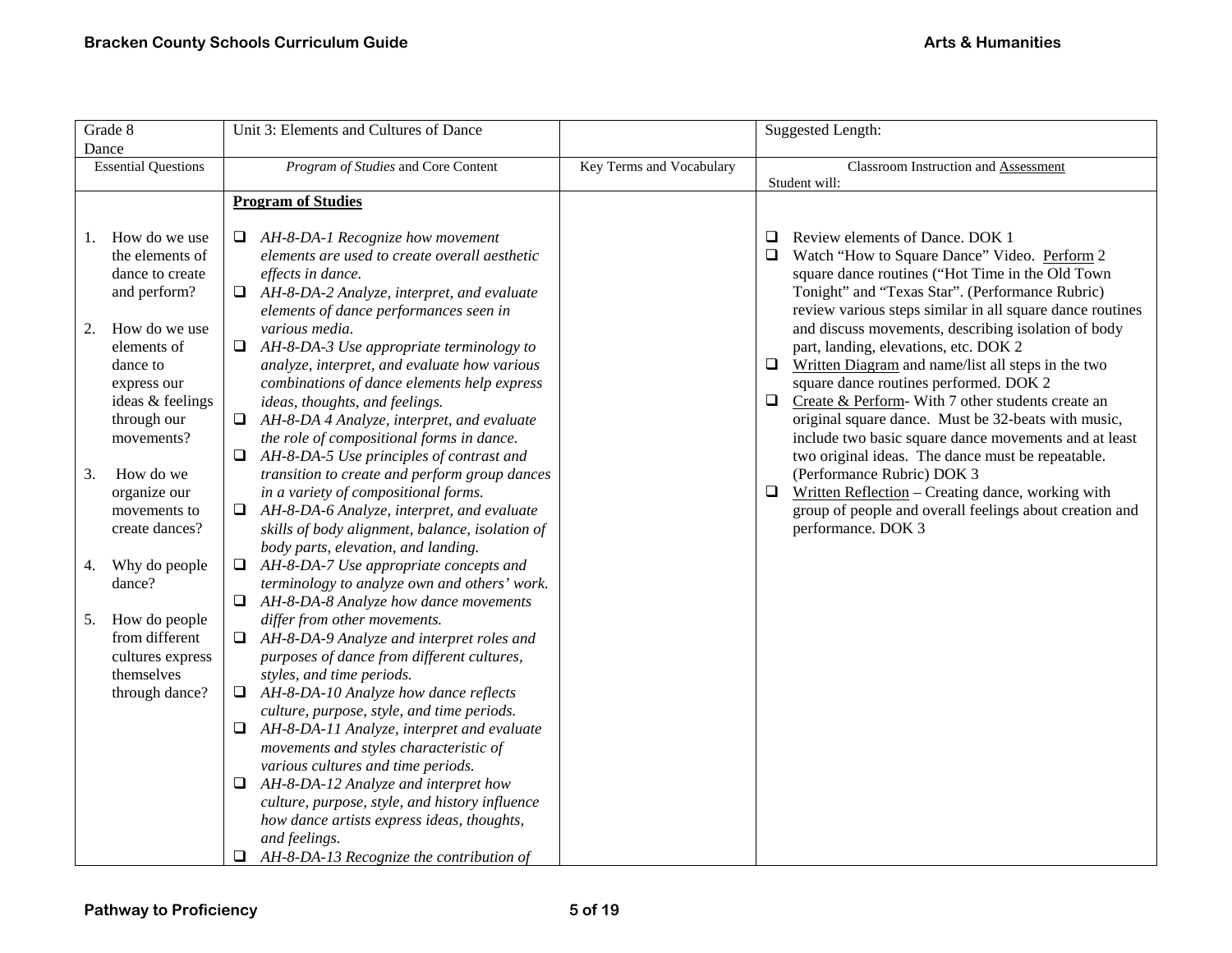| Grade 8                                                                                                                                                                                                                                                          | Unit 3: Elements and Cultures of Dance                                                                                                                                                                                                                                                                                                                                                                                                                                                                                                                                                                                                                                                                                                                             |                          | Suggested Length:                                                                                                                                                                                                                                                                                                                                                                                                                                                                                                                                                                                                                                                                                                                                                                                                                                                                  |
|------------------------------------------------------------------------------------------------------------------------------------------------------------------------------------------------------------------------------------------------------------------|--------------------------------------------------------------------------------------------------------------------------------------------------------------------------------------------------------------------------------------------------------------------------------------------------------------------------------------------------------------------------------------------------------------------------------------------------------------------------------------------------------------------------------------------------------------------------------------------------------------------------------------------------------------------------------------------------------------------------------------------------------------------|--------------------------|------------------------------------------------------------------------------------------------------------------------------------------------------------------------------------------------------------------------------------------------------------------------------------------------------------------------------------------------------------------------------------------------------------------------------------------------------------------------------------------------------------------------------------------------------------------------------------------------------------------------------------------------------------------------------------------------------------------------------------------------------------------------------------------------------------------------------------------------------------------------------------|
| Dance<br><b>Essential Questions</b>                                                                                                                                                                                                                              | Program of Studies and Core Content                                                                                                                                                                                                                                                                                                                                                                                                                                                                                                                                                                                                                                                                                                                                | Key Terms and Vocabulary | Classroom Instruction and Assessment<br>Student will:                                                                                                                                                                                                                                                                                                                                                                                                                                                                                                                                                                                                                                                                                                                                                                                                                              |
|                                                                                                                                                                                                                                                                  | <b>Program of Studies</b>                                                                                                                                                                                                                                                                                                                                                                                                                                                                                                                                                                                                                                                                                                                                          |                          |                                                                                                                                                                                                                                                                                                                                                                                                                                                                                                                                                                                                                                                                                                                                                                                                                                                                                    |
| How do we use<br>1.<br>the elements of<br>dance to create<br>and perform?<br>How do we use<br>2.<br>elements of<br>dance to<br>express our<br>ideas & feelings<br>through our<br>movements?<br>How do we<br>3.<br>organize our<br>movements to<br>create dances? | AH-8-DA-1 Recognize how movement<br>elements are used to create overall aesthetic<br>effects in dance.<br>$\Box$ AH-8-DA-2 Analyze, interpret, and evaluate<br>elements of dance performances seen in<br>various media.<br>$\Box$ AH-8-DA-3 Use appropriate terminology to<br>analyze, interpret, and evaluate how various<br>combinations of dance elements help express<br>ideas, thoughts, and feelings.<br>$\Box$ AH-8-DA 4 Analyze, interpret, and evaluate<br>the role of compositional forms in dance.<br>AH-8-DA-5 Use principles of contrast and<br>$\Box$<br>transition to create and perform group dances<br>in a variety of compositional forms.<br>AH-8-DA-6 Analyze, interpret, and evaluate<br>⊔<br>skills of body alignment, balance, isolation of |                          | Review elements of Dance. DOK 1<br>$\Box$<br>Watch "How to Square Dance" Video. Perform 2<br>square dance routines ("Hot Time in the Old Town<br>Tonight" and "Texas Star". (Performance Rubric)<br>review various steps similar in all square dance routines<br>and discuss movements, describing isolation of body<br>part, landing, elevations, etc. DOK 2<br>$\Box$ Written Diagram and name/list all steps in the two<br>square dance routines performed. DOK 2<br>$\Box$ Create & Perform-With 7 other students create an<br>original square dance. Must be 32-beats with music,<br>include two basic square dance movements and at least<br>two original ideas. The dance must be repeatable.<br>(Performance Rubric) DOK 3<br>Written Reflection - Creating dance, working with<br>$\Box$<br>group of people and overall feelings about creation and<br>performance. DOK 3 |
| Why do people<br>4.<br>dance?                                                                                                                                                                                                                                    | body parts, elevation, and landing.<br>AH-8-DA-7 Use appropriate concepts and<br>□<br>terminology to analyze own and others' work.<br>AH-8-DA-8 Analyze how dance movements                                                                                                                                                                                                                                                                                                                                                                                                                                                                                                                                                                                        |                          |                                                                                                                                                                                                                                                                                                                                                                                                                                                                                                                                                                                                                                                                                                                                                                                                                                                                                    |
| How do people<br>5.<br>from different<br>cultures express<br>themselves<br>through dance?                                                                                                                                                                        | differ from other movements.<br>$\Box$ AH-8-DA-9 Analyze and interpret roles and<br>purposes of dance from different cultures,<br>styles, and time periods.<br>AH-8-DA-10 Analyze how dance reflects<br>Q.<br>culture, purpose, style, and time periods.<br>AH-8-DA-11 Analyze, interpret and evaluate<br>❏<br>movements and styles characteristic of<br>various cultures and time periods.<br>AH-8-DA-12 Analyze and interpret how<br>Q.<br>culture, purpose, style, and history influence<br>how dance artists express ideas, thoughts,<br>and feelings.<br>$\Box$ AH-8-DA-13 Recognize the contribution of                                                                                                                                                      |                          |                                                                                                                                                                                                                                                                                                                                                                                                                                                                                                                                                                                                                                                                                                                                                                                                                                                                                    |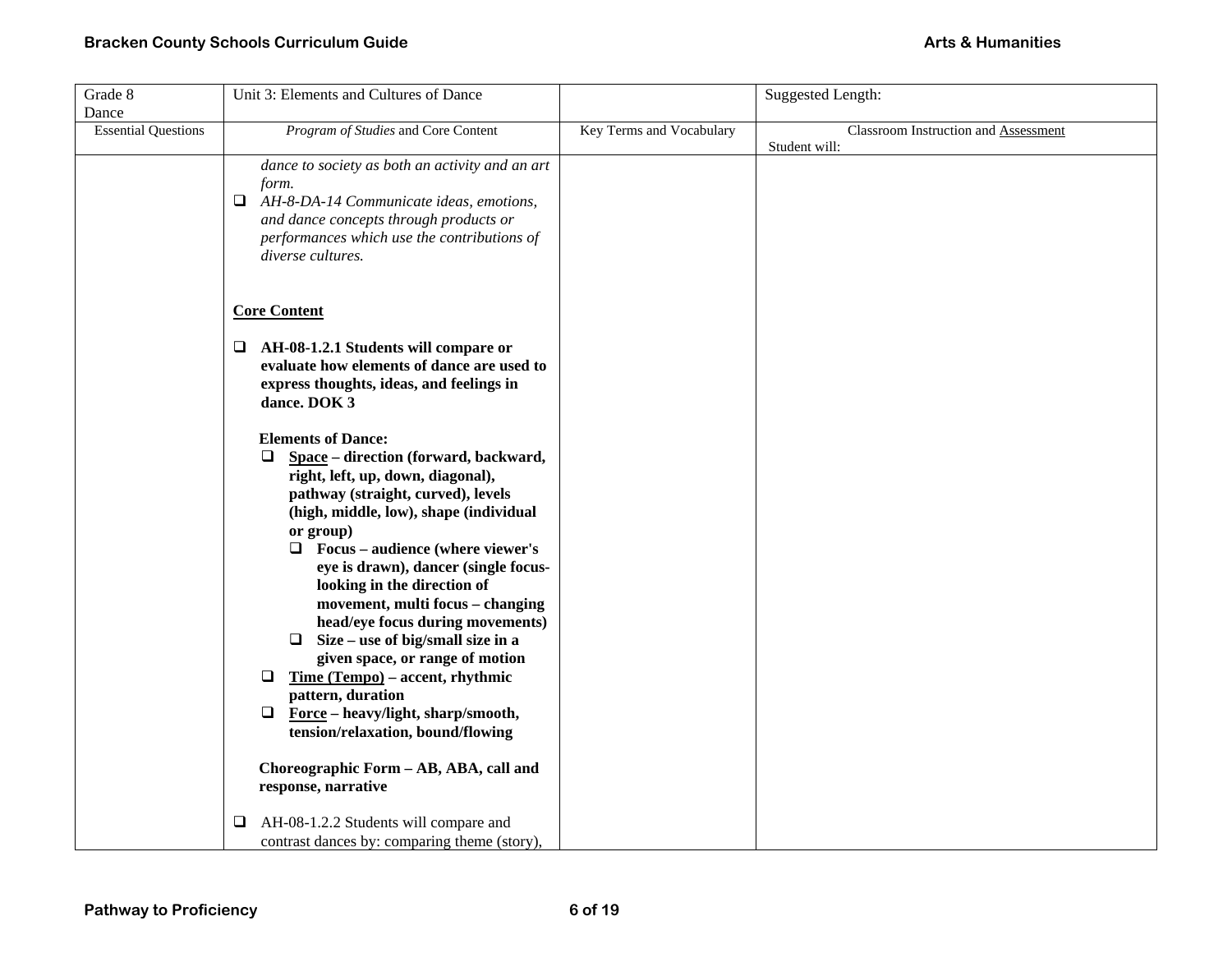| Grade 8                    | Unit 3: Elements and Cultures of Dance                    |                          | <b>Suggested Length:</b>             |
|----------------------------|-----------------------------------------------------------|--------------------------|--------------------------------------|
| Dance                      |                                                           |                          |                                      |
| <b>Essential Questions</b> | Program of Studies and Core Content                       | Key Terms and Vocabulary | Classroom Instruction and Assessment |
|                            |                                                           |                          | Student will:                        |
|                            | dance to society as both an activity and an art           |                          |                                      |
|                            | form.                                                     |                          |                                      |
|                            | $\Box$ AH-8-DA-14 Communicate ideas, emotions,            |                          |                                      |
|                            | and dance concepts through products or                    |                          |                                      |
|                            | performances which use the contributions of               |                          |                                      |
|                            | diverse cultures.                                         |                          |                                      |
|                            |                                                           |                          |                                      |
|                            |                                                           |                          |                                      |
|                            | <b>Core Content</b>                                       |                          |                                      |
|                            |                                                           |                          |                                      |
|                            | AH-08-1.2.1 Students will compare or<br>⊔                 |                          |                                      |
|                            | evaluate how elements of dance are used to                |                          |                                      |
|                            | express thoughts, ideas, and feelings in                  |                          |                                      |
|                            | dance. DOK 3                                              |                          |                                      |
|                            |                                                           |                          |                                      |
|                            | <b>Elements of Dance:</b>                                 |                          |                                      |
|                            | Space - direction (forward, backward,<br>$\Box$           |                          |                                      |
|                            | right, left, up, down, diagonal),                         |                          |                                      |
|                            | pathway (straight, curved), levels                        |                          |                                      |
|                            | (high, middle, low), shape (individual                    |                          |                                      |
|                            | or group)                                                 |                          |                                      |
|                            | $\Box$ Focus – audience (where viewer's                   |                          |                                      |
|                            | eye is drawn), dancer (single focus-                      |                          |                                      |
|                            | looking in the direction of                               |                          |                                      |
|                            | movement, multi focus - changing                          |                          |                                      |
|                            | head/eye focus during movements)                          |                          |                                      |
|                            | $\Box$ Size – use of big/small size in a                  |                          |                                      |
|                            | given space, or range of motion                           |                          |                                      |
|                            | Time (Tempo) – accent, rhythmic<br>□<br>pattern, duration |                          |                                      |
|                            | $\Box$ Force – heavy/light, sharp/smooth,                 |                          |                                      |
|                            | tension/relaxation, bound/flowing                         |                          |                                      |
|                            |                                                           |                          |                                      |
|                            | Choreographic Form - AB, ABA, call and                    |                          |                                      |
|                            | response, narrative                                       |                          |                                      |
|                            |                                                           |                          |                                      |
|                            | AH-08-1.2.2 Students will compare and<br>⊔                |                          |                                      |
|                            | contrast dances by: comparing theme (story),              |                          |                                      |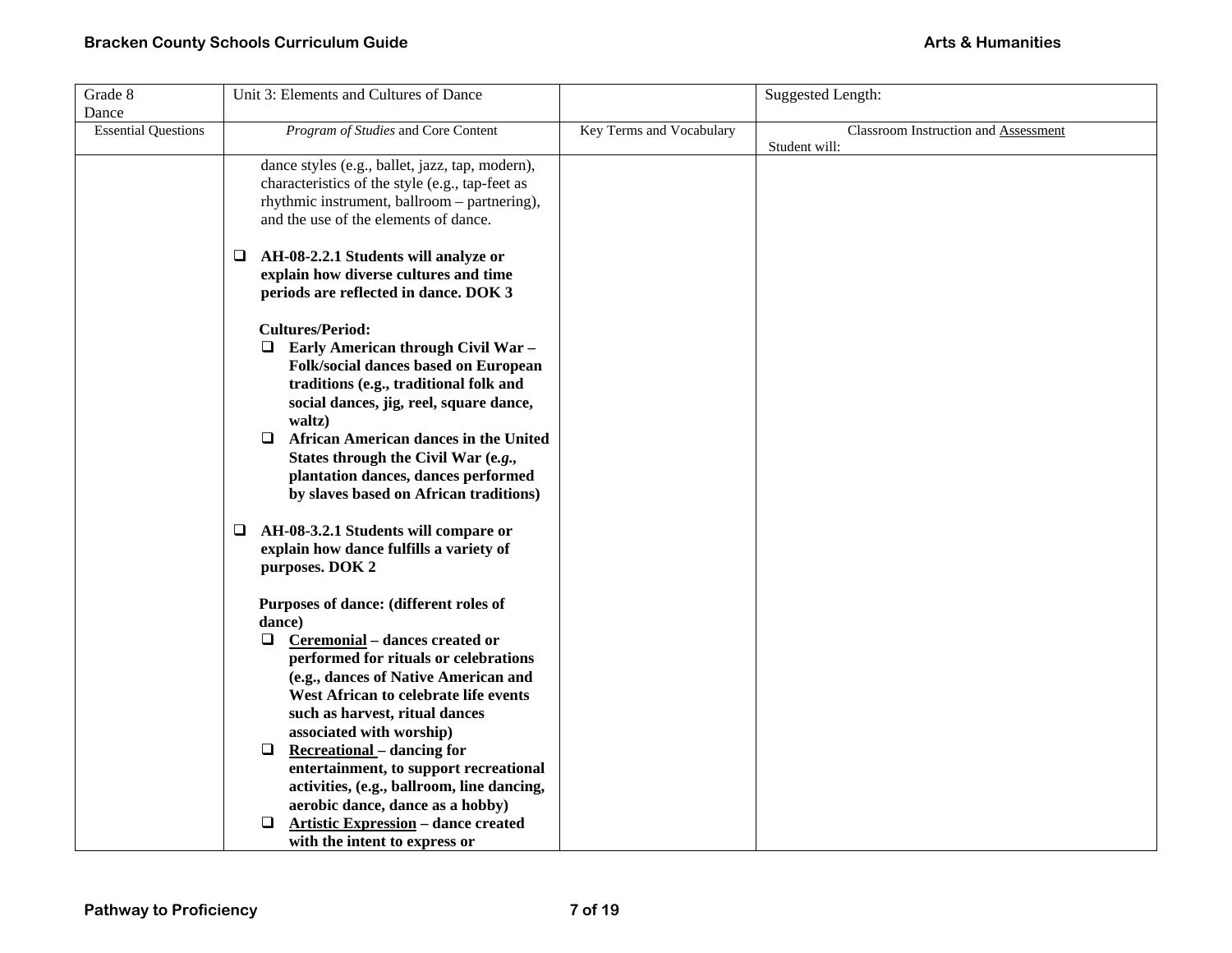| Grade 8                    | Unit 3: Elements and Cultures of Dance                 |                          | <b>Suggested Length:</b>             |
|----------------------------|--------------------------------------------------------|--------------------------|--------------------------------------|
| Dance                      |                                                        |                          |                                      |
| <b>Essential Questions</b> | Program of Studies and Core Content                    | Key Terms and Vocabulary | Classroom Instruction and Assessment |
|                            |                                                        |                          | Student will:                        |
|                            | dance styles (e.g., ballet, jazz, tap, modern),        |                          |                                      |
|                            | characteristics of the style (e.g., tap-feet as        |                          |                                      |
|                            | rhythmic instrument, ballroom - partnering),           |                          |                                      |
|                            | and the use of the elements of dance.                  |                          |                                      |
|                            | AH-08-2.2.1 Students will analyze or<br>⊔              |                          |                                      |
|                            | explain how diverse cultures and time                  |                          |                                      |
|                            | periods are reflected in dance. DOK 3                  |                          |                                      |
|                            | <b>Cultures/Period:</b>                                |                          |                                      |
|                            | $\Box$ Early American through Civil War -              |                          |                                      |
|                            | Folk/social dances based on European                   |                          |                                      |
|                            | traditions (e.g., traditional folk and                 |                          |                                      |
|                            | social dances, jig, reel, square dance,                |                          |                                      |
|                            | waltz)                                                 |                          |                                      |
|                            | <b>African American dances in the United</b><br>$\Box$ |                          |                                      |
|                            | States through the Civil War (e.g.,                    |                          |                                      |
|                            | plantation dances, dances performed                    |                          |                                      |
|                            | by slaves based on African traditions)                 |                          |                                      |
|                            |                                                        |                          |                                      |
|                            | $\Box$ AH-08-3.2.1 Students will compare or            |                          |                                      |
|                            | explain how dance fulfills a variety of                |                          |                                      |
|                            | purposes. DOK 2                                        |                          |                                      |
|                            |                                                        |                          |                                      |
|                            | Purposes of dance: (different roles of                 |                          |                                      |
|                            | dance)                                                 |                          |                                      |
|                            | Ceremonial - dances created or<br>⊔                    |                          |                                      |
|                            | performed for rituals or celebrations                  |                          |                                      |
|                            | (e.g., dances of Native American and                   |                          |                                      |
|                            | West African to celebrate life events                  |                          |                                      |
|                            | such as harvest, ritual dances                         |                          |                                      |
|                            | associated with worship)                               |                          |                                      |
|                            | $\Box$<br><b>Recreational</b> – dancing for            |                          |                                      |
|                            | entertainment, to support recreational                 |                          |                                      |
|                            | activities, (e.g., ballroom, line dancing,             |                          |                                      |
|                            | aerobic dance, dance as a hobby)                       |                          |                                      |
|                            | <b>Artistic Expression - dance created</b><br>□        |                          |                                      |
|                            | with the intent to express or                          |                          |                                      |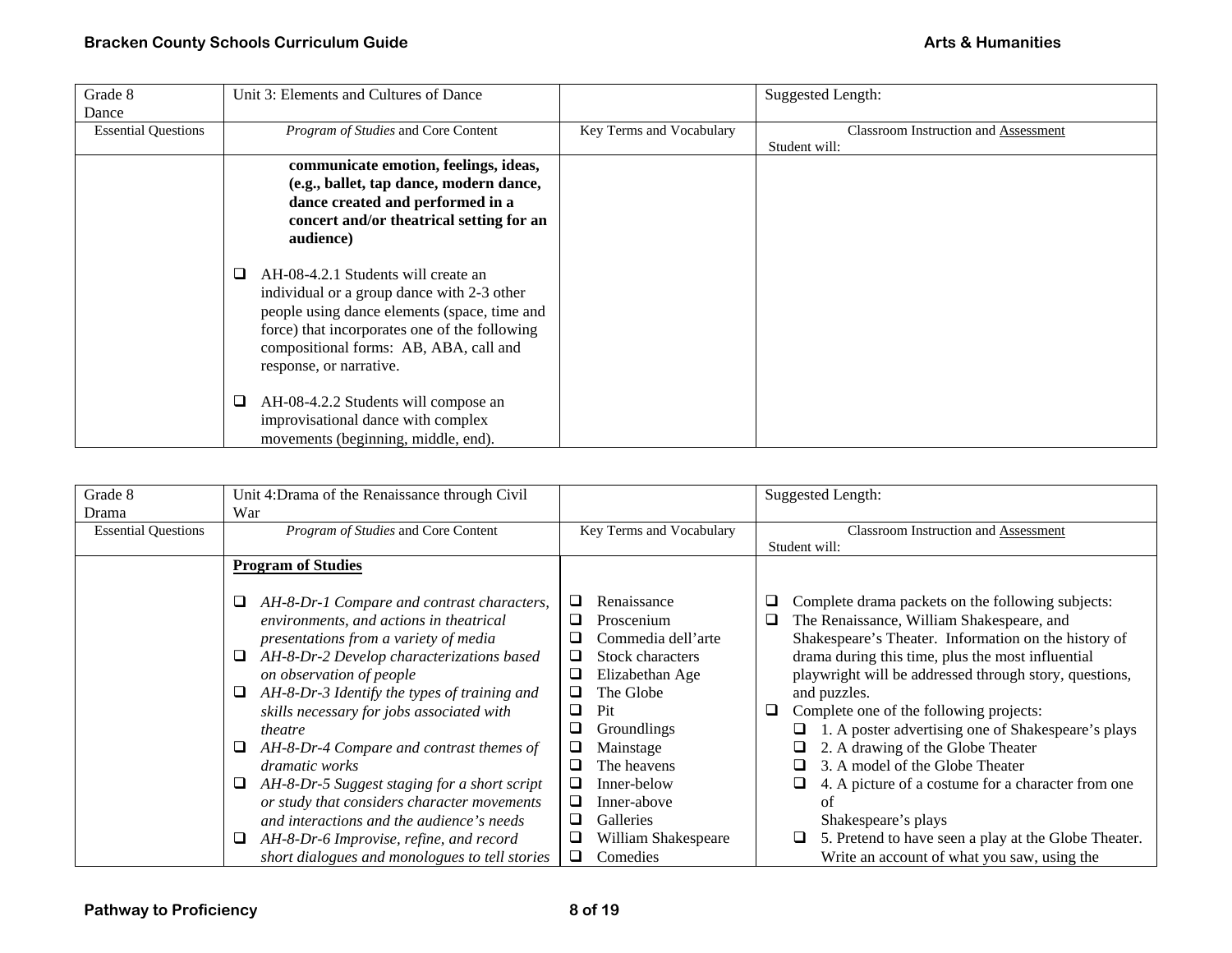| Grade 8                    | Unit 3: Elements and Cultures of Dance        |                          | <b>Suggested Length:</b>             |
|----------------------------|-----------------------------------------------|--------------------------|--------------------------------------|
| Dance                      |                                               |                          |                                      |
| <b>Essential Questions</b> | Program of Studies and Core Content           | Key Terms and Vocabulary | Classroom Instruction and Assessment |
|                            |                                               |                          | Student will:                        |
|                            | communicate emotion, feelings, ideas,         |                          |                                      |
|                            | (e.g., ballet, tap dance, modern dance,       |                          |                                      |
|                            | dance created and performed in a              |                          |                                      |
|                            | concert and/or theatrical setting for an      |                          |                                      |
|                            | audience)                                     |                          |                                      |
|                            |                                               |                          |                                      |
|                            | AH-08-4.2.1 Students will create an<br>❏      |                          |                                      |
|                            | individual or a group dance with 2-3 other    |                          |                                      |
|                            | people using dance elements (space, time and  |                          |                                      |
|                            | force) that incorporates one of the following |                          |                                      |
|                            | compositional forms: AB, ABA, call and        |                          |                                      |
|                            | response, or narrative.                       |                          |                                      |
|                            |                                               |                          |                                      |
|                            | ❏<br>AH-08-4.2.2 Students will compose an     |                          |                                      |
|                            | improvisational dance with complex            |                          |                                      |
|                            | movements (beginning, middle, end).           |                          |                                      |

| Grade 8                    | Unit 4:Drama of the Renaissance through Civil                                                                                                                                         |                                                                                    | <b>Suggested Length:</b>                                                                                                                                                                                              |
|----------------------------|---------------------------------------------------------------------------------------------------------------------------------------------------------------------------------------|------------------------------------------------------------------------------------|-----------------------------------------------------------------------------------------------------------------------------------------------------------------------------------------------------------------------|
| Drama                      | War                                                                                                                                                                                   |                                                                                    |                                                                                                                                                                                                                       |
| <b>Essential Questions</b> | Program of Studies and Core Content                                                                                                                                                   | Key Terms and Vocabulary                                                           | Classroom Instruction and Assessment                                                                                                                                                                                  |
|                            |                                                                                                                                                                                       |                                                                                    | Student will:                                                                                                                                                                                                         |
|                            | <b>Program of Studies</b>                                                                                                                                                             |                                                                                    |                                                                                                                                                                                                                       |
|                            | AH-8-Dr-1 Compare and contrast characters,<br>□<br>environments, and actions in theatrical<br>presentations from a variety of media<br>AH-8-Dr-2 Develop characterizations based<br>⊔ | Renaissance<br>⊔<br>Proscenium<br>⊔<br>Commedia dell'arte<br>Stock characters<br>⊔ | Complete drama packets on the following subjects:<br>⊔<br>The Renaissance, William Shakespeare, and<br>❏<br>Shakespeare's Theater. Information on the history of<br>drama during this time, plus the most influential |
|                            | on observation of people                                                                                                                                                              | □<br>Elizabethan Age                                                               | playwright will be addressed through story, questions,                                                                                                                                                                |
|                            | AH-8-Dr-3 Identify the types of training and<br>⊔<br>skills necessary for jobs associated with<br>theatre                                                                             | The Globe<br>⊔<br>Pit<br>⊔<br>❏<br><b>Groundlings</b>                              | and puzzles.<br>Complete one of the following projects:<br>u<br>1. A poster advertising one of Shakespeare's plays                                                                                                    |
|                            | AH-8-Dr-4 Compare and contrast themes of<br>⊔<br>dramatic works                                                                                                                       | ❏<br>Mainstage<br>□<br>The heavens                                                 | 2. A drawing of the Globe Theater<br>3. A model of the Globe Theater                                                                                                                                                  |
|                            | AH-8-Dr-5 Suggest staging for a short script<br>⊔<br>or study that considers character movements                                                                                      | □<br>Inner-below<br>□<br>Inner-above                                               | 4. A picture of a costume for a character from one<br>of                                                                                                                                                              |
|                            | and interactions and the audience's needs<br>AH-8-Dr-6 Improvise, refine, and record<br>⊔                                                                                             | Galleries<br>□<br>William Shakespeare                                              | Shakespeare's plays<br>5. Pretend to have seen a play at the Globe Theater.<br>⊔                                                                                                                                      |
|                            | short dialogues and monologues to tell stories                                                                                                                                        | □<br>Comedies                                                                      | Write an account of what you saw, using the                                                                                                                                                                           |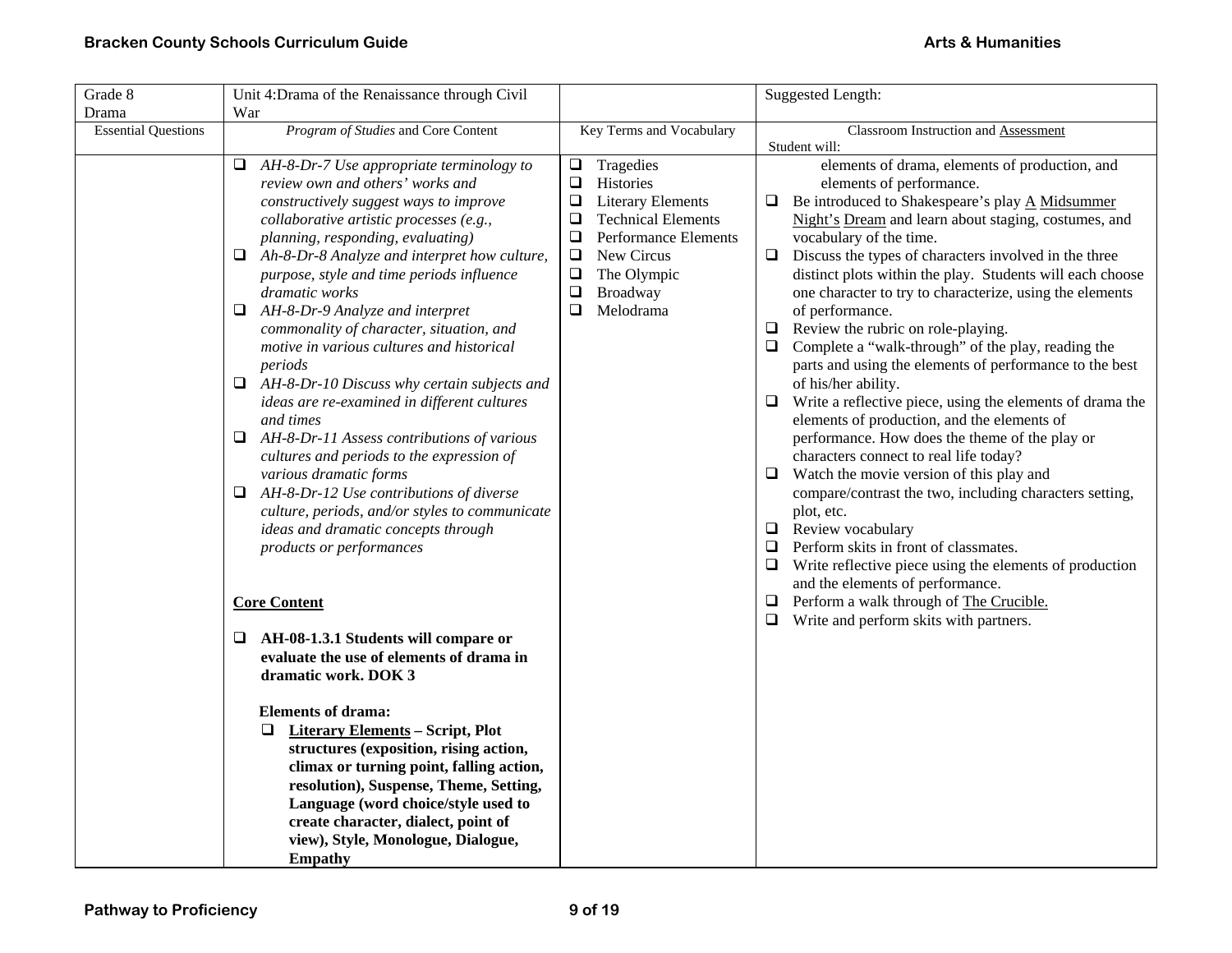| Grade 8                    | Unit 4: Drama of the Renaissance through Civil                                                                                                                                                                                                                                                                                                                                                                                                                                                                                                                                                                                                                                                                                                                                                                                                                                                               |                                                                                                                                                                                                                                                                  | Suggested Length:                                                                                                                                                                                                                                                                                                                                                                                                                                                                                                                                                                                                                                                                                                                                                                                                                                                                                                                                                                                                                                                                                                                                                            |
|----------------------------|--------------------------------------------------------------------------------------------------------------------------------------------------------------------------------------------------------------------------------------------------------------------------------------------------------------------------------------------------------------------------------------------------------------------------------------------------------------------------------------------------------------------------------------------------------------------------------------------------------------------------------------------------------------------------------------------------------------------------------------------------------------------------------------------------------------------------------------------------------------------------------------------------------------|------------------------------------------------------------------------------------------------------------------------------------------------------------------------------------------------------------------------------------------------------------------|------------------------------------------------------------------------------------------------------------------------------------------------------------------------------------------------------------------------------------------------------------------------------------------------------------------------------------------------------------------------------------------------------------------------------------------------------------------------------------------------------------------------------------------------------------------------------------------------------------------------------------------------------------------------------------------------------------------------------------------------------------------------------------------------------------------------------------------------------------------------------------------------------------------------------------------------------------------------------------------------------------------------------------------------------------------------------------------------------------------------------------------------------------------------------|
| Drama                      | War                                                                                                                                                                                                                                                                                                                                                                                                                                                                                                                                                                                                                                                                                                                                                                                                                                                                                                          |                                                                                                                                                                                                                                                                  |                                                                                                                                                                                                                                                                                                                                                                                                                                                                                                                                                                                                                                                                                                                                                                                                                                                                                                                                                                                                                                                                                                                                                                              |
| <b>Essential Questions</b> | Program of Studies and Core Content                                                                                                                                                                                                                                                                                                                                                                                                                                                                                                                                                                                                                                                                                                                                                                                                                                                                          | Key Terms and Vocabulary                                                                                                                                                                                                                                         | Classroom Instruction and Assessment                                                                                                                                                                                                                                                                                                                                                                                                                                                                                                                                                                                                                                                                                                                                                                                                                                                                                                                                                                                                                                                                                                                                         |
|                            | AH-8-Dr-7 Use appropriate terminology to<br>Q.<br>review own and others' works and<br>constructively suggest ways to improve<br>collaborative artistic processes (e.g.,<br>planning, responding, evaluating)<br>$\Box$ Ah-8-Dr-8 Analyze and interpret how culture,<br>purpose, style and time periods influence<br><i>dramatic works</i><br>$\Box$ AH-8-Dr-9 Analyze and interpret<br>commonality of character, situation, and<br>motive in various cultures and historical<br>periods<br>$\Box$ AH-8-Dr-10 Discuss why certain subjects and<br>ideas are re-examined in different cultures<br>and times<br>$\Box$ AH-8-Dr-11 Assess contributions of various<br>cultures and periods to the expression of<br>various dramatic forms<br>$\Box$ AH-8-Dr-12 Use contributions of diverse<br>culture, periods, and/or styles to communicate<br>ideas and dramatic concepts through<br>products or performances | Tragedies<br>$\Box$<br>$\Box$<br><b>Histories</b><br>$\Box$<br><b>Literary Elements</b><br><b>Technical Elements</b><br>❏<br>$\Box$<br><b>Performance Elements</b><br>$\Box$<br>New Circus<br>$\Box$<br>The Olympic<br>$\Box$<br>Broadway<br>$\Box$<br>Melodrama | Student will:<br>elements of drama, elements of production, and<br>elements of performance.<br>Be introduced to Shakespeare's play A Midsummer<br>⊔<br>Night's Dream and learn about staging, costumes, and<br>vocabulary of the time.<br>Discuss the types of characters involved in the three<br>$\Box$<br>distinct plots within the play. Students will each choose<br>one character to try to characterize, using the elements<br>of performance.<br>Review the rubric on role-playing.<br>$\Box$<br>Complete a "walk-through" of the play, reading the<br>□<br>parts and using the elements of performance to the best<br>of his/her ability.<br>Write a reflective piece, using the elements of drama the<br>⊔<br>elements of production, and the elements of<br>performance. How does the theme of the play or<br>characters connect to real life today?<br>Watch the movie version of this play and<br>⊔<br>compare/contrast the two, including characters setting,<br>plot, etc.<br>$\Box$ Review vocabulary<br>Perform skits in front of classmates.<br>□<br>$\Box$<br>Write reflective piece using the elements of production<br>and the elements of performance. |
|                            | <b>Core Content</b>                                                                                                                                                                                                                                                                                                                                                                                                                                                                                                                                                                                                                                                                                                                                                                                                                                                                                          |                                                                                                                                                                                                                                                                  | Perform a walk through of The Crucible.<br>Write and perform skits with partners.<br>⊔                                                                                                                                                                                                                                                                                                                                                                                                                                                                                                                                                                                                                                                                                                                                                                                                                                                                                                                                                                                                                                                                                       |
|                            | AH-08-1.3.1 Students will compare or<br>□<br>evaluate the use of elements of drama in<br>dramatic work. DOK 3                                                                                                                                                                                                                                                                                                                                                                                                                                                                                                                                                                                                                                                                                                                                                                                                |                                                                                                                                                                                                                                                                  |                                                                                                                                                                                                                                                                                                                                                                                                                                                                                                                                                                                                                                                                                                                                                                                                                                                                                                                                                                                                                                                                                                                                                                              |
|                            | <b>Elements of drama:</b><br><b>Literary Elements - Script, Plot</b><br>□<br>structures (exposition, rising action,<br>climax or turning point, falling action,<br>resolution), Suspense, Theme, Setting,<br>Language (word choice/style used to<br>create character, dialect, point of<br>view), Style, Monologue, Dialogue,<br><b>Empathy</b>                                                                                                                                                                                                                                                                                                                                                                                                                                                                                                                                                              |                                                                                                                                                                                                                                                                  |                                                                                                                                                                                                                                                                                                                                                                                                                                                                                                                                                                                                                                                                                                                                                                                                                                                                                                                                                                                                                                                                                                                                                                              |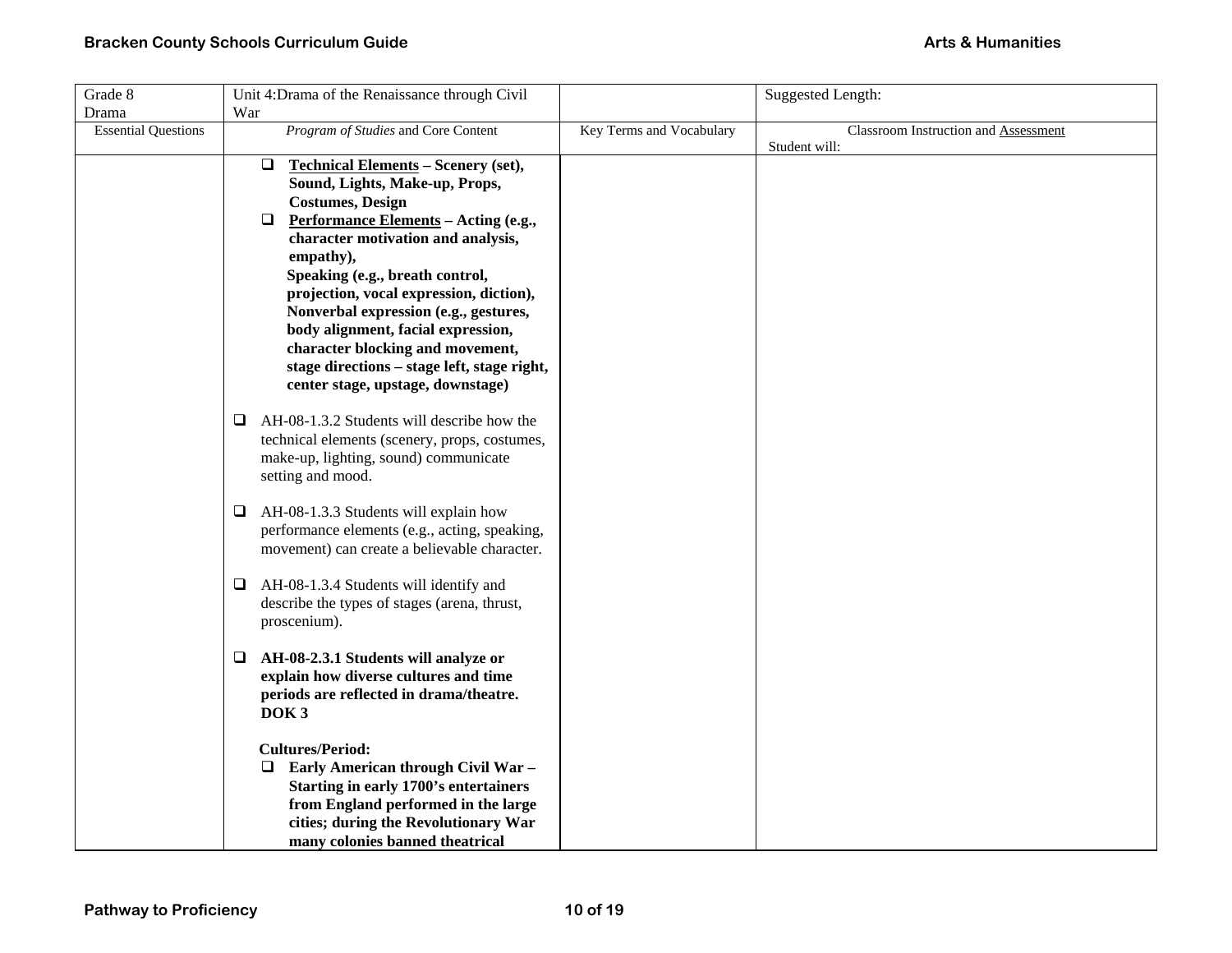| Grade 8                    | Unit 4: Drama of the Renaissance through Civil       |                          | <b>Suggested Length:</b>             |
|----------------------------|------------------------------------------------------|--------------------------|--------------------------------------|
| Drama                      | War                                                  |                          |                                      |
| <b>Essential Questions</b> | Program of Studies and Core Content                  | Key Terms and Vocabulary | Classroom Instruction and Assessment |
|                            |                                                      |                          | Student will:                        |
|                            | $\Box$<br><b>Technical Elements - Scenery (set),</b> |                          |                                      |
|                            | Sound, Lights, Make-up, Props,                       |                          |                                      |
|                            | <b>Costumes, Design</b>                              |                          |                                      |
|                            | $\Box$<br>Performance Elements - Acting (e.g.,       |                          |                                      |
|                            | character motivation and analysis,                   |                          |                                      |
|                            | empathy),                                            |                          |                                      |
|                            | Speaking (e.g., breath control,                      |                          |                                      |
|                            | projection, vocal expression, diction),              |                          |                                      |
|                            | Nonverbal expression (e.g., gestures,                |                          |                                      |
|                            | body alignment, facial expression,                   |                          |                                      |
|                            | character blocking and movement,                     |                          |                                      |
|                            | stage directions - stage left, stage right,          |                          |                                      |
|                            | center stage, upstage, downstage)                    |                          |                                      |
|                            | AH-08-1.3.2 Students will describe how the<br>⊔      |                          |                                      |
|                            | technical elements (scenery, props, costumes,        |                          |                                      |
|                            | make-up, lighting, sound) communicate                |                          |                                      |
|                            | setting and mood.                                    |                          |                                      |
|                            | AH-08-1.3.3 Students will explain how<br>⊔           |                          |                                      |
|                            | performance elements (e.g., acting, speaking,        |                          |                                      |
|                            | movement) can create a believable character.         |                          |                                      |
|                            |                                                      |                          |                                      |
|                            | AH-08-1.3.4 Students will identify and<br>⊔          |                          |                                      |
|                            | describe the types of stages (arena, thrust,         |                          |                                      |
|                            | proscenium).                                         |                          |                                      |
|                            | AH-08-2.3.1 Students will analyze or<br>❏            |                          |                                      |
|                            | explain how diverse cultures and time                |                          |                                      |
|                            | periods are reflected in drama/theatre.              |                          |                                      |
|                            | DOK <sub>3</sub>                                     |                          |                                      |
|                            |                                                      |                          |                                      |
|                            | <b>Cultures/Period:</b>                              |                          |                                      |
|                            | Early American through Civil War -<br>❏              |                          |                                      |
|                            | Starting in early 1700's entertainers                |                          |                                      |
|                            | from England performed in the large                  |                          |                                      |
|                            | cities; during the Revolutionary War                 |                          |                                      |
|                            | many colonies banned theatrical                      |                          |                                      |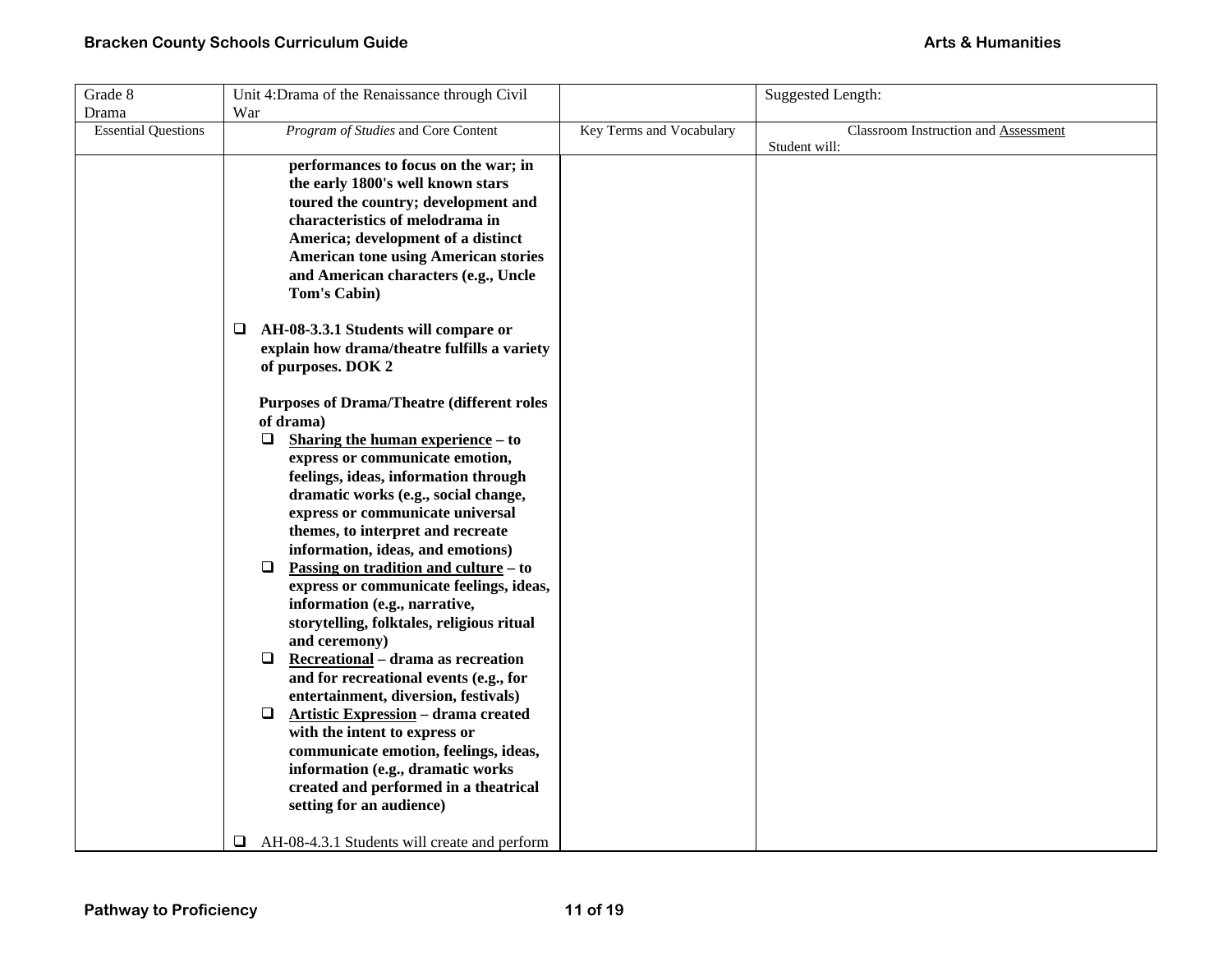| Grade 8                    | Unit 4: Drama of the Renaissance through Civil                        |                          | Suggested Length:                    |
|----------------------------|-----------------------------------------------------------------------|--------------------------|--------------------------------------|
| Drama                      | War                                                                   |                          |                                      |
| <b>Essential Questions</b> | Program of Studies and Core Content                                   | Key Terms and Vocabulary | Classroom Instruction and Assessment |
|                            |                                                                       |                          | Student will:                        |
|                            | performances to focus on the war; in                                  |                          |                                      |
|                            | the early 1800's well known stars                                     |                          |                                      |
|                            | toured the country; development and                                   |                          |                                      |
|                            | characteristics of melodrama in                                       |                          |                                      |
|                            | America; development of a distinct                                    |                          |                                      |
|                            | <b>American tone using American stories</b>                           |                          |                                      |
|                            | and American characters (e.g., Uncle                                  |                          |                                      |
|                            | Tom's Cabin)                                                          |                          |                                      |
|                            | AH-08-3.3.1 Students will compare or<br>❏                             |                          |                                      |
|                            | explain how drama/theatre fulfills a variety                          |                          |                                      |
|                            | of purposes. DOK 2                                                    |                          |                                      |
|                            |                                                                       |                          |                                      |
|                            | <b>Purposes of Drama/Theatre (different roles)</b><br>of drama)       |                          |                                      |
|                            | $\Box$                                                                |                          |                                      |
|                            | Sharing the human experience – to                                     |                          |                                      |
|                            | express or communicate emotion,                                       |                          |                                      |
|                            | feelings, ideas, information through                                  |                          |                                      |
|                            | dramatic works (e.g., social change,                                  |                          |                                      |
|                            | express or communicate universal<br>themes, to interpret and recreate |                          |                                      |
|                            | information, ideas, and emotions)                                     |                          |                                      |
|                            | <u>Passing on tradition and culture</u> – to<br>❏                     |                          |                                      |
|                            | express or communicate feelings, ideas,                               |                          |                                      |
|                            | information (e.g., narrative,                                         |                          |                                      |
|                            | storytelling, folktales, religious ritual                             |                          |                                      |
|                            | and ceremony)                                                         |                          |                                      |
|                            | Recreational - drama as recreation<br>□                               |                          |                                      |
|                            | and for recreational events (e.g., for                                |                          |                                      |
|                            | entertainment, diversion, festivals)                                  |                          |                                      |
|                            | <b>Artistic Expression - drama created</b><br>❏                       |                          |                                      |
|                            | with the intent to express or                                         |                          |                                      |
|                            | communicate emotion, feelings, ideas,                                 |                          |                                      |
|                            | information (e.g., dramatic works                                     |                          |                                      |
|                            | created and performed in a theatrical                                 |                          |                                      |
|                            | setting for an audience)                                              |                          |                                      |
|                            | AH-08-4.3.1 Students will create and perform<br>❏                     |                          |                                      |
|                            |                                                                       |                          |                                      |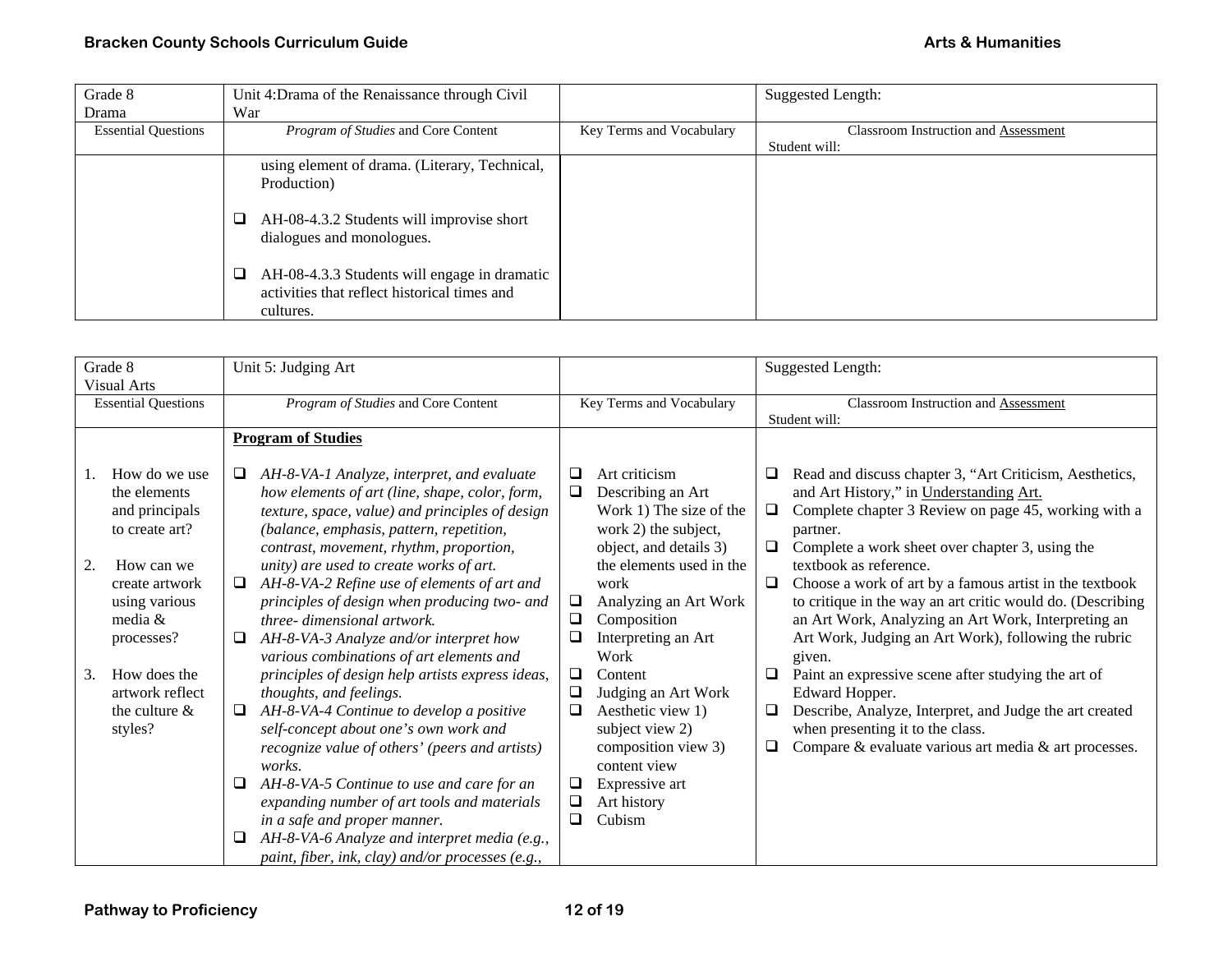| Grade 8                    | Unit 4: Drama of the Renaissance through Civil                                                            |                          | <b>Suggested Length:</b>                    |
|----------------------------|-----------------------------------------------------------------------------------------------------------|--------------------------|---------------------------------------------|
| Drama                      | War                                                                                                       |                          |                                             |
| <b>Essential Questions</b> | <i>Program of Studies</i> and Core Content                                                                | Key Terms and Vocabulary | <b>Classroom Instruction and Assessment</b> |
|                            |                                                                                                           |                          | Student will:                               |
|                            | using element of drama. (Literary, Technical,                                                             |                          |                                             |
|                            | Production)                                                                                               |                          |                                             |
|                            | AH-08-4.3.2 Students will improvise short<br>dialogues and monologues.                                    |                          |                                             |
|                            | AH-08-4.3.3 Students will engage in dramatic<br>activities that reflect historical times and<br>cultures. |                          |                                             |

| Grade 8<br><b>Visual Arts</b>                                                                                                                                                                                                     | Unit 5: Judging Art                                                                                                                                                                                                                                                                                                                                                                                                                                                                                                                                                                                                                                                                                                  |                                                                                                                                                                                                                                                                                                                                                        | Suggested Length:                                                                                                                                                                                                                                                                                                                                                                                                                                                                                                                                                                                                                                                                                                 |
|-----------------------------------------------------------------------------------------------------------------------------------------------------------------------------------------------------------------------------------|----------------------------------------------------------------------------------------------------------------------------------------------------------------------------------------------------------------------------------------------------------------------------------------------------------------------------------------------------------------------------------------------------------------------------------------------------------------------------------------------------------------------------------------------------------------------------------------------------------------------------------------------------------------------------------------------------------------------|--------------------------------------------------------------------------------------------------------------------------------------------------------------------------------------------------------------------------------------------------------------------------------------------------------------------------------------------------------|-------------------------------------------------------------------------------------------------------------------------------------------------------------------------------------------------------------------------------------------------------------------------------------------------------------------------------------------------------------------------------------------------------------------------------------------------------------------------------------------------------------------------------------------------------------------------------------------------------------------------------------------------------------------------------------------------------------------|
| <b>Essential Questions</b>                                                                                                                                                                                                        | Program of Studies and Core Content                                                                                                                                                                                                                                                                                                                                                                                                                                                                                                                                                                                                                                                                                  | Key Terms and Vocabulary                                                                                                                                                                                                                                                                                                                               | Classroom Instruction and Assessment<br>Student will:                                                                                                                                                                                                                                                                                                                                                                                                                                                                                                                                                                                                                                                             |
| How do we use<br>1.<br>the elements<br>and principals<br>to create art?<br>2.<br>How can we<br>create artwork<br>using various<br>media $&$<br>processes?<br>How does the<br>3.<br>artwork reflect<br>the culture $\&$<br>styles? | <b>Program of Studies</b><br>AH-8-VA-1 Analyze, interpret, and evaluate<br>⊔<br>how elements of art (line, shape, color, form,<br>texture, space, value) and principles of design<br>(balance, emphasis, pattern, repetition,<br>contrast, movement, rhythm, proportion,<br>unity) are used to create works of art.<br>AH-8-VA-2 Refine use of elements of art and<br>□<br>principles of design when producing two- and<br>three-dimensional artwork.<br>AH-8-VA-3 Analyze and/or interpret how<br>□<br>various combinations of art elements and<br>principles of design help artists express ideas,<br>thoughts, and feelings.<br>AH-8-VA-4 Continue to develop a positive<br>self-concept about one's own work and | Art criticism<br>⊔<br>Describing an Art<br>□<br>Work 1) The size of the<br>work 2) the subject,<br>object, and details 3)<br>the elements used in the<br>work<br>Analyzing an Art Work<br>❏<br>$\Box$<br>Composition<br>$\Box$<br>Interpreting an Art<br>Work<br>□<br>Content<br>□<br>Judging an Art Work<br>❏<br>Aesthetic view 1)<br>subject view 2) | Read and discuss chapter 3, "Art Criticism, Aesthetics,<br>⊔<br>and Art History," in Understanding Art.<br>Complete chapter 3 Review on page 45, working with a<br>□<br>partner.<br>Complete a work sheet over chapter 3, using the<br>$\Box$<br>textbook as reference.<br>Choose a work of art by a famous artist in the textbook<br>❏.<br>to critique in the way an art critic would do. (Describing<br>an Art Work, Analyzing an Art Work, Interpreting an<br>Art Work, Judging an Art Work), following the rubric<br>given.<br>Paint an expressive scene after studying the art of<br>□<br>Edward Hopper.<br>Describe, Analyze, Interpret, and Judge the art created<br>⊔<br>when presenting it to the class. |
|                                                                                                                                                                                                                                   | recognize value of others' (peers and artists)<br>works.<br>AH-8-VA-5 Continue to use and care for an<br>⊔<br>expanding number of art tools and materials<br>in a safe and proper manner.<br>AH-8-VA-6 Analyze and interpret media (e.g.,<br>⊔                                                                                                                                                                                                                                                                                                                                                                                                                                                                       | composition view 3)<br>content view<br>Expressive art<br>⊔<br>Art history<br>$\Box$<br>❏<br>Cubism                                                                                                                                                                                                                                                     | Compare & evaluate various art media & art processes.<br>❏.                                                                                                                                                                                                                                                                                                                                                                                                                                                                                                                                                                                                                                                       |
|                                                                                                                                                                                                                                   | paint, fiber, ink, clay) and/or processes (e.g.,                                                                                                                                                                                                                                                                                                                                                                                                                                                                                                                                                                                                                                                                     |                                                                                                                                                                                                                                                                                                                                                        |                                                                                                                                                                                                                                                                                                                                                                                                                                                                                                                                                                                                                                                                                                                   |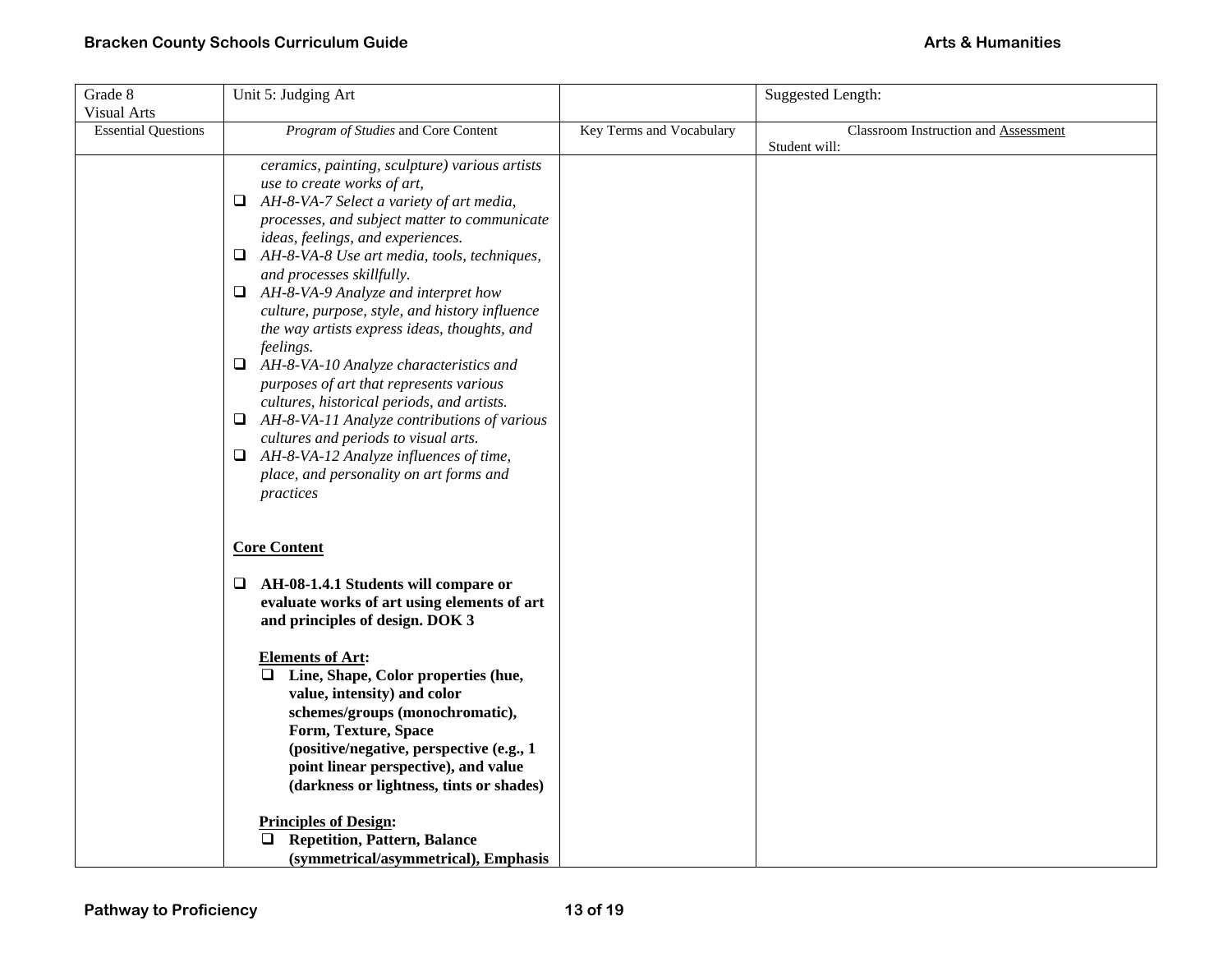| Grade 8                    | Unit 5: Judging Art                                            |                          | <b>Suggested Length:</b>             |
|----------------------------|----------------------------------------------------------------|--------------------------|--------------------------------------|
| <b>Visual Arts</b>         |                                                                |                          |                                      |
| <b>Essential Questions</b> | Program of Studies and Core Content                            | Key Terms and Vocabulary | Classroom Instruction and Assessment |
|                            | ceramics, painting, sculpture) various artists                 |                          | Student will:                        |
|                            | use to create works of art,                                    |                          |                                      |
|                            | AH-8-VA-7 Select a variety of art media,<br>Q.                 |                          |                                      |
|                            | processes, and subject matter to communicate                   |                          |                                      |
|                            | ideas, feelings, and experiences.                              |                          |                                      |
|                            | $\Box$ AH-8-VA-8 Use art media, tools, techniques,             |                          |                                      |
|                            | and processes skillfully.                                      |                          |                                      |
|                            | $\Box$ AH-8-VA-9 Analyze and interpret how                     |                          |                                      |
|                            | culture, purpose, style, and history influence                 |                          |                                      |
|                            | the way artists express ideas, thoughts, and                   |                          |                                      |
|                            | feelings.                                                      |                          |                                      |
|                            | $\Box$<br>AH-8-VA-10 Analyze characteristics and               |                          |                                      |
|                            | purposes of art that represents various                        |                          |                                      |
|                            | cultures, historical periods, and artists.                     |                          |                                      |
|                            | $\Box$ AH-8-VA-11 Analyze contributions of various             |                          |                                      |
|                            | cultures and periods to visual arts.                           |                          |                                      |
|                            | AH-8-VA-12 Analyze influences of time,<br>Q.                   |                          |                                      |
|                            | place, and personality on art forms and                        |                          |                                      |
|                            | practices                                                      |                          |                                      |
|                            | <b>Core Content</b>                                            |                          |                                      |
|                            | AH-08-1.4.1 Students will compare or<br>Q.                     |                          |                                      |
|                            | evaluate works of art using elements of art                    |                          |                                      |
|                            | and principles of design. DOK 3                                |                          |                                      |
|                            |                                                                |                          |                                      |
|                            | <b>Elements of Art:</b>                                        |                          |                                      |
|                            | Line, Shape, Color properties (hue,<br>$\Box$                  |                          |                                      |
|                            | value, intensity) and color<br>schemes/groups (monochromatic), |                          |                                      |
|                            | Form, Texture, Space                                           |                          |                                      |
|                            | (positive/negative, perspective (e.g., 1)                      |                          |                                      |
|                            | point linear perspective), and value                           |                          |                                      |
|                            | (darkness or lightness, tints or shades)                       |                          |                                      |
|                            | <b>Principles of Design:</b>                                   |                          |                                      |
|                            | <b>Repetition, Pattern, Balance</b><br>❏                       |                          |                                      |
|                            | (symmetrical/asymmetrical), Emphasis                           |                          |                                      |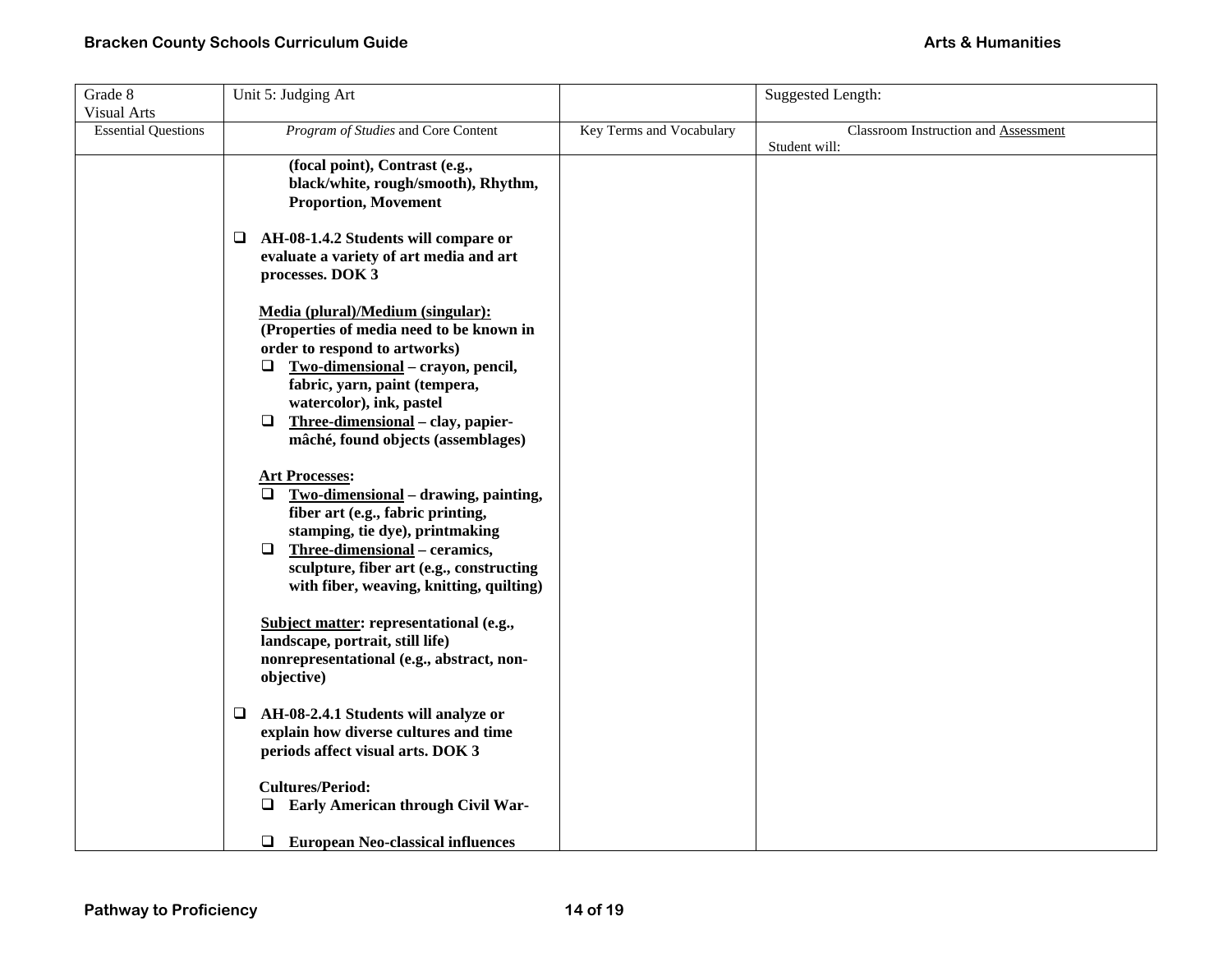| Grade 8                                          | Unit 5: Judging Art                                                                                                                                                                                                                                                                                          |                          | <b>Suggested Length:</b>             |
|--------------------------------------------------|--------------------------------------------------------------------------------------------------------------------------------------------------------------------------------------------------------------------------------------------------------------------------------------------------------------|--------------------------|--------------------------------------|
| <b>Visual Arts</b><br><b>Essential Questions</b> | Program of Studies and Core Content                                                                                                                                                                                                                                                                          | Key Terms and Vocabulary | Classroom Instruction and Assessment |
|                                                  | (focal point), Contrast (e.g.,<br>black/white, rough/smooth), Rhythm,<br><b>Proportion, Movement</b>                                                                                                                                                                                                         |                          | Student will:                        |
|                                                  | AH-08-1.4.2 Students will compare or<br>⊔<br>evaluate a variety of art media and art<br>processes. DOK 3                                                                                                                                                                                                     |                          |                                      |
|                                                  | Media (plural)/Medium (singular):<br>(Properties of media need to be known in<br>order to respond to artworks)<br>$\Box$ Two-dimensional – crayon, pencil,<br>fabric, yarn, paint (tempera,<br>watercolor), ink, pastel<br>Three-dimensional - clay, papier-<br>$\Box$<br>mâché, found objects (assemblages) |                          |                                      |
|                                                  | <b>Art Processes:</b><br>Two-dimensional - drawing, painting,<br>$\Box$<br>fiber art (e.g., fabric printing,<br>stamping, tie dye), printmaking<br>$\Box$<br>Three-dimensional - ceramics,<br>sculpture, fiber art (e.g., constructing<br>with fiber, weaving, knitting, quilting)                           |                          |                                      |
|                                                  | Subject matter: representational (e.g.,<br>landscape, portrait, still life)<br>nonrepresentational (e.g., abstract, non-<br>objective)                                                                                                                                                                       |                          |                                      |
|                                                  | AH-08-2.4.1 Students will analyze or<br>Q.<br>explain how diverse cultures and time<br>periods affect visual arts. DOK 3                                                                                                                                                                                     |                          |                                      |
|                                                  | <b>Cultures/Period:</b><br><b>Q</b> Early American through Civil War-                                                                                                                                                                                                                                        |                          |                                      |
|                                                  | $\Box$<br><b>European Neo-classical influences</b>                                                                                                                                                                                                                                                           |                          |                                      |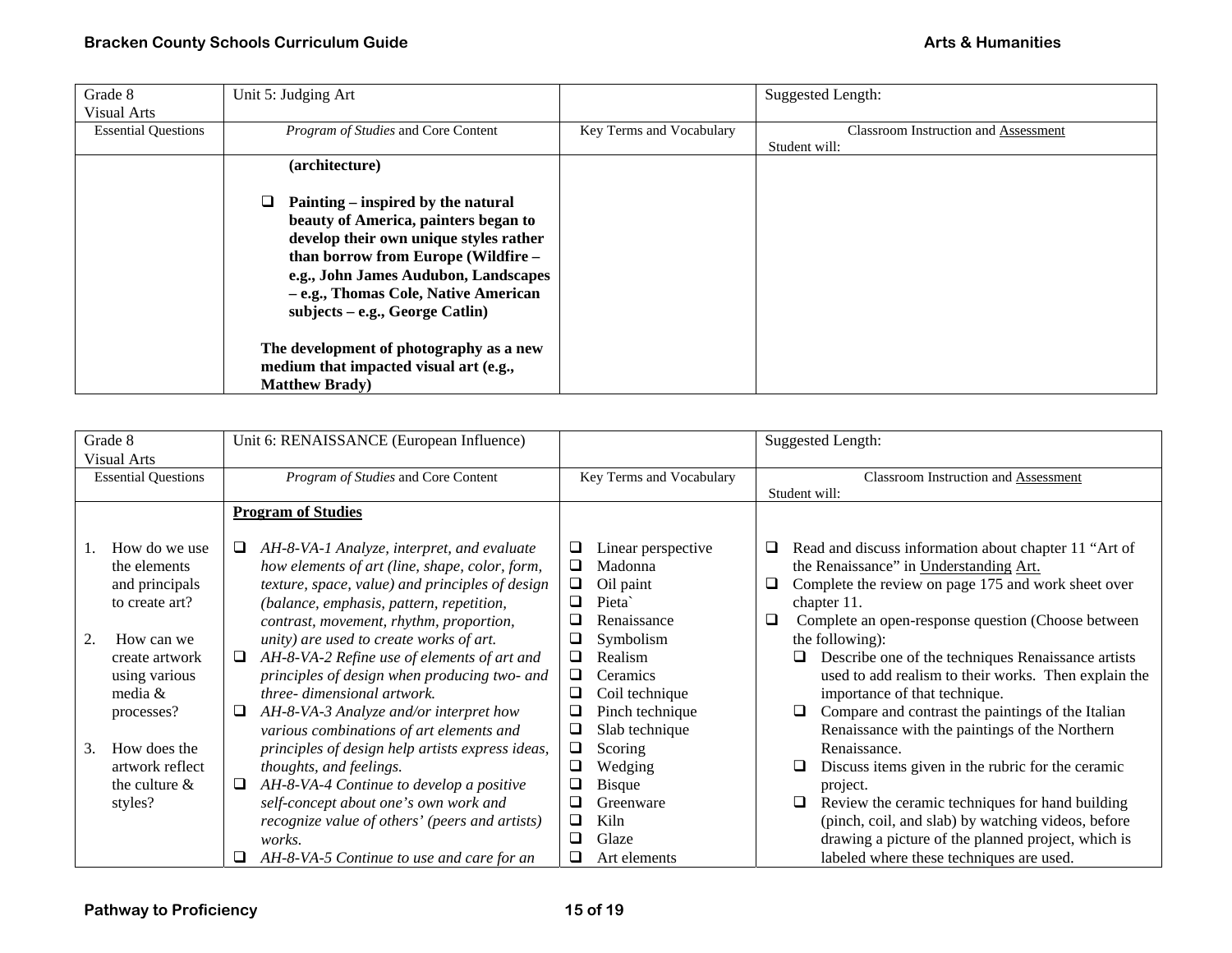| Grade 8                    | Unit 5: Judging Art                     |                          | Suggested Length:                           |
|----------------------------|-----------------------------------------|--------------------------|---------------------------------------------|
| <b>Visual Arts</b>         |                                         |                          |                                             |
| <b>Essential Questions</b> | Program of Studies and Core Content     | Key Terms and Vocabulary | <b>Classroom Instruction and Assessment</b> |
|                            |                                         |                          | Student will:                               |
|                            | (architecture)                          |                          |                                             |
|                            |                                         |                          |                                             |
|                            | Painting – inspired by the natural      |                          |                                             |
|                            | beauty of America, painters began to    |                          |                                             |
|                            | develop their own unique styles rather  |                          |                                             |
|                            | than borrow from Europe (Wildfire -     |                          |                                             |
|                            | e.g., John James Audubon, Landscapes    |                          |                                             |
|                            | - e.g., Thomas Cole, Native American    |                          |                                             |
|                            | $subjects - e.g., George Catlin)$       |                          |                                             |
|                            |                                         |                          |                                             |
|                            | The development of photography as a new |                          |                                             |
|                            | medium that impacted visual art (e.g.,  |                          |                                             |
|                            | <b>Matthew Brady</b> )                  |                          |                                             |

| Grade 8                                                                                                                                                                              | Unit 6: RENAISSANCE (European Influence)                                                                                                                                                                                                                                                                                                                                                                                                                                                                                                                                                            |                                                                                                                                                                                                                                                           | <b>Suggested Length:</b>                                                                                                                                                                                                                                                                                                                                                                                                                                                                                                                                                                  |
|--------------------------------------------------------------------------------------------------------------------------------------------------------------------------------------|-----------------------------------------------------------------------------------------------------------------------------------------------------------------------------------------------------------------------------------------------------------------------------------------------------------------------------------------------------------------------------------------------------------------------------------------------------------------------------------------------------------------------------------------------------------------------------------------------------|-----------------------------------------------------------------------------------------------------------------------------------------------------------------------------------------------------------------------------------------------------------|-------------------------------------------------------------------------------------------------------------------------------------------------------------------------------------------------------------------------------------------------------------------------------------------------------------------------------------------------------------------------------------------------------------------------------------------------------------------------------------------------------------------------------------------------------------------------------------------|
| Visual Arts                                                                                                                                                                          |                                                                                                                                                                                                                                                                                                                                                                                                                                                                                                                                                                                                     |                                                                                                                                                                                                                                                           |                                                                                                                                                                                                                                                                                                                                                                                                                                                                                                                                                                                           |
| <b>Essential Questions</b>                                                                                                                                                           | Program of Studies and Core Content                                                                                                                                                                                                                                                                                                                                                                                                                                                                                                                                                                 | Key Terms and Vocabulary                                                                                                                                                                                                                                  | <b>Classroom Instruction and Assessment</b>                                                                                                                                                                                                                                                                                                                                                                                                                                                                                                                                               |
|                                                                                                                                                                                      |                                                                                                                                                                                                                                                                                                                                                                                                                                                                                                                                                                                                     |                                                                                                                                                                                                                                                           | Student will:                                                                                                                                                                                                                                                                                                                                                                                                                                                                                                                                                                             |
|                                                                                                                                                                                      | <b>Program of Studies</b>                                                                                                                                                                                                                                                                                                                                                                                                                                                                                                                                                                           |                                                                                                                                                                                                                                                           |                                                                                                                                                                                                                                                                                                                                                                                                                                                                                                                                                                                           |
| How do we use<br>the elements<br>and principals<br>to create art?<br>How can we<br>create artwork<br>using various<br>media &<br>processes?<br>How does the<br>3.<br>artwork reflect | ❏<br>AH-8-VA-1 Analyze, interpret, and evaluate<br>how elements of art (line, shape, color, form,<br>texture, space, value) and principles of design<br>(balance, emphasis, pattern, repetition,<br>contrast, movement, rhythm, proportion,<br>unity) are used to create works of art.<br>AH-8-VA-2 Refine use of elements of art and<br>⊔<br>principles of design when producing two- and<br>three- dimensional artwork.<br>AH-8-VA-3 Analyze and/or interpret how<br>⊔<br>various combinations of art elements and<br>principles of design help artists express ideas,<br>thoughts, and feelings. | Linear perspective<br>⊔<br>Q<br>Madonna<br>❏<br>Oil paint<br>Pieta<br>❏<br>Renaissance<br>⊔<br>Symbolism<br>⊔<br>❏<br>Realism<br>❏<br>Ceramics<br>Coil technique<br>⊔<br>❏<br>Pinch technique<br>❏<br>Slab technique<br>$\Box$<br>Scoring<br>❏<br>Wedging | Read and discuss information about chapter 11 "Art of<br>the Renaissance" in Understanding Art.<br>Q<br>Complete the review on page 175 and work sheet over<br>chapter 11.<br>$\Box$<br>Complete an open-response question (Choose between)<br>the following):<br>Describe one of the techniques Renaissance artists<br>used to add realism to their works. Then explain the<br>importance of that technique.<br>Compare and contrast the paintings of the Italian<br>Renaissance with the paintings of the Northern<br>Renaissance.<br>Discuss items given in the rubric for the ceramic |
| the culture $\&$                                                                                                                                                                     | AH-8-VA-4 Continue to develop a positive<br>⊔                                                                                                                                                                                                                                                                                                                                                                                                                                                                                                                                                       | <b>Bisque</b><br>❏                                                                                                                                                                                                                                        | project.                                                                                                                                                                                                                                                                                                                                                                                                                                                                                                                                                                                  |
| styles?                                                                                                                                                                              | self-concept about one's own work and                                                                                                                                                                                                                                                                                                                                                                                                                                                                                                                                                               | Greenware<br>⊔                                                                                                                                                                                                                                            | Review the ceramic techniques for hand building                                                                                                                                                                                                                                                                                                                                                                                                                                                                                                                                           |
|                                                                                                                                                                                      | recognize value of others' (peers and artists)                                                                                                                                                                                                                                                                                                                                                                                                                                                                                                                                                      | ❏<br>Kiln                                                                                                                                                                                                                                                 | (pinch, coil, and slab) by watching videos, before                                                                                                                                                                                                                                                                                                                                                                                                                                                                                                                                        |
|                                                                                                                                                                                      | <i>works.</i>                                                                                                                                                                                                                                                                                                                                                                                                                                                                                                                                                                                       | □<br>Glaze                                                                                                                                                                                                                                                | drawing a picture of the planned project, which is                                                                                                                                                                                                                                                                                                                                                                                                                                                                                                                                        |
|                                                                                                                                                                                      | AH-8-VA-5 Continue to use and care for an<br>⊔                                                                                                                                                                                                                                                                                                                                                                                                                                                                                                                                                      | ❏<br>Art elements                                                                                                                                                                                                                                         | labeled where these techniques are used.                                                                                                                                                                                                                                                                                                                                                                                                                                                                                                                                                  |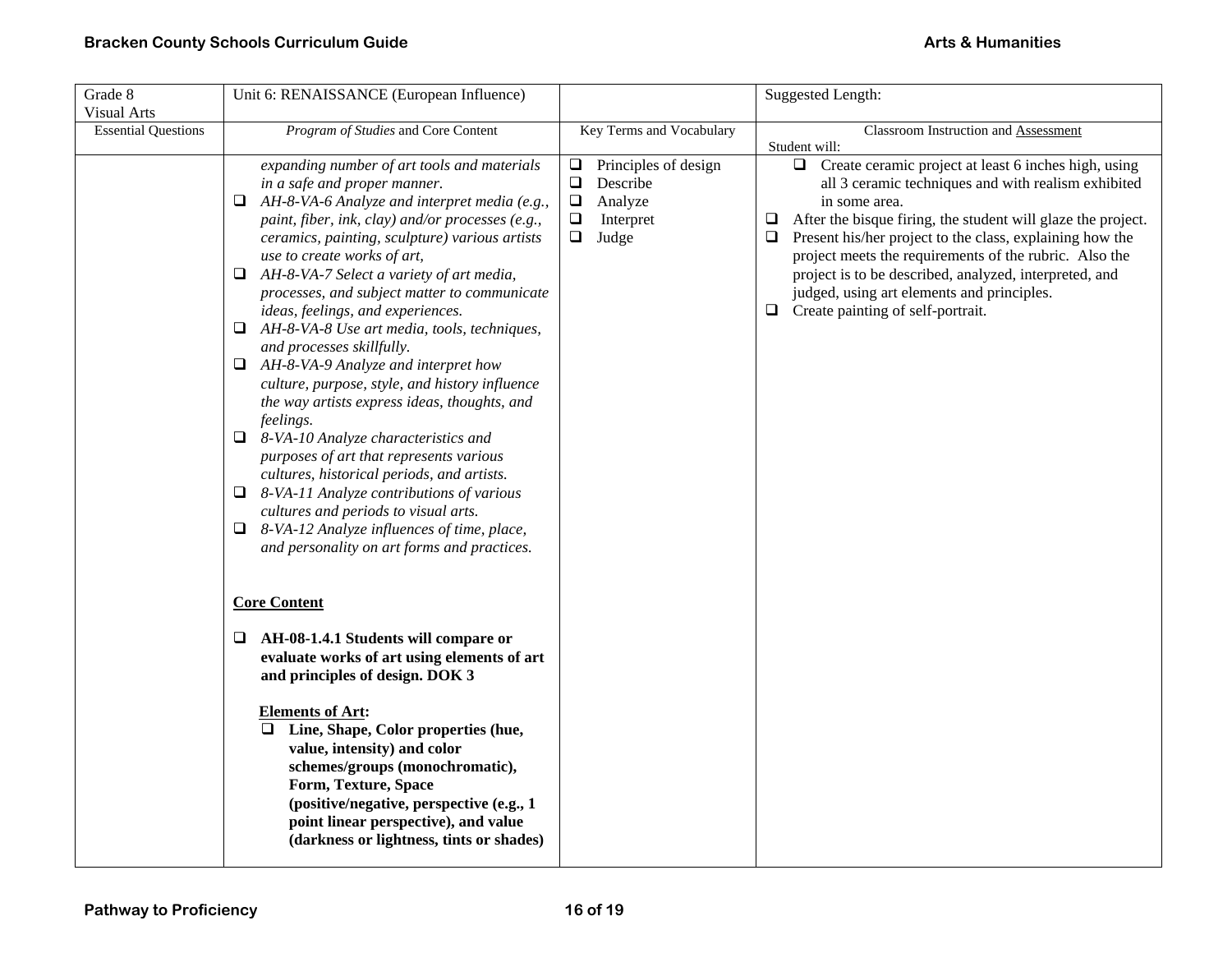| Grade 8<br><b>Visual Arts</b> | Unit 6: RENAISSANCE (European Influence)                                                                                                                                                                                                                                                                                                                                                                                                                                                                                                                                                                                                                                                                                                                                                                                                                                                                                                                                                          |                                                                                                                | Suggested Length:                                                                                                                                                                                                                                                                                                                                                                                                                                                                             |
|-------------------------------|---------------------------------------------------------------------------------------------------------------------------------------------------------------------------------------------------------------------------------------------------------------------------------------------------------------------------------------------------------------------------------------------------------------------------------------------------------------------------------------------------------------------------------------------------------------------------------------------------------------------------------------------------------------------------------------------------------------------------------------------------------------------------------------------------------------------------------------------------------------------------------------------------------------------------------------------------------------------------------------------------|----------------------------------------------------------------------------------------------------------------|-----------------------------------------------------------------------------------------------------------------------------------------------------------------------------------------------------------------------------------------------------------------------------------------------------------------------------------------------------------------------------------------------------------------------------------------------------------------------------------------------|
| <b>Essential Questions</b>    | Program of Studies and Core Content                                                                                                                                                                                                                                                                                                                                                                                                                                                                                                                                                                                                                                                                                                                                                                                                                                                                                                                                                               | Key Terms and Vocabulary                                                                                       | <b>Classroom Instruction and Assessment</b><br>Student will:                                                                                                                                                                                                                                                                                                                                                                                                                                  |
|                               | expanding number of art tools and materials<br>in a safe and proper manner.<br>$\Box$ AH-8-VA-6 Analyze and interpret media (e.g.,<br>paint, fiber, ink, clay) and/or processes (e.g.,<br>ceramics, painting, sculpture) various artists<br>use to create works of art,<br>$\Box$ AH-8-VA-7 Select a variety of art media,<br>processes, and subject matter to communicate<br>ideas, feelings, and experiences.<br>$\Box$ AH-8-VA-8 Use art media, tools, techniques,<br>and processes skillfully.<br>$\Box$ AH-8-VA-9 Analyze and interpret how<br>culture, purpose, style, and history influence<br>the way artists express ideas, thoughts, and<br>feelings.<br>$\Box$ 8-VA-10 Analyze characteristics and<br>purposes of art that represents various<br>cultures, historical periods, and artists.<br>8-VA-11 Analyze contributions of various<br>❏<br>cultures and periods to visual arts.<br>8-VA-12 Analyze influences of time, place,<br>⊔<br>and personality on art forms and practices. | Principles of design<br>⊔<br>$\Box$<br>Describe<br>$\Box$<br>Analyze<br>$\Box$<br>Interpret<br>$\Box$<br>Judge | Create ceramic project at least 6 inches high, using<br>□<br>all 3 ceramic techniques and with realism exhibited<br>in some area.<br>$\Box$<br>After the bisque firing, the student will glaze the project.<br>Present his/her project to the class, explaining how the<br>$\Box$<br>project meets the requirements of the rubric. Also the<br>project is to be described, analyzed, interpreted, and<br>judged, using art elements and principles.<br>Create painting of self-portrait.<br>❏ |
|                               | <b>Core Content</b>                                                                                                                                                                                                                                                                                                                                                                                                                                                                                                                                                                                                                                                                                                                                                                                                                                                                                                                                                                               |                                                                                                                |                                                                                                                                                                                                                                                                                                                                                                                                                                                                                               |
|                               | AH-08-1.4.1 Students will compare or<br>⊔<br>evaluate works of art using elements of art<br>and principles of design. DOK 3                                                                                                                                                                                                                                                                                                                                                                                                                                                                                                                                                                                                                                                                                                                                                                                                                                                                       |                                                                                                                |                                                                                                                                                                                                                                                                                                                                                                                                                                                                                               |
|                               | <b>Elements of Art:</b><br>$\Box$ Line, Shape, Color properties (hue,<br>value, intensity) and color<br>schemes/groups (monochromatic),<br>Form, Texture, Space<br>(positive/negative, perspective (e.g., 1)<br>point linear perspective), and value<br>(darkness or lightness, tints or shades)                                                                                                                                                                                                                                                                                                                                                                                                                                                                                                                                                                                                                                                                                                  |                                                                                                                |                                                                                                                                                                                                                                                                                                                                                                                                                                                                                               |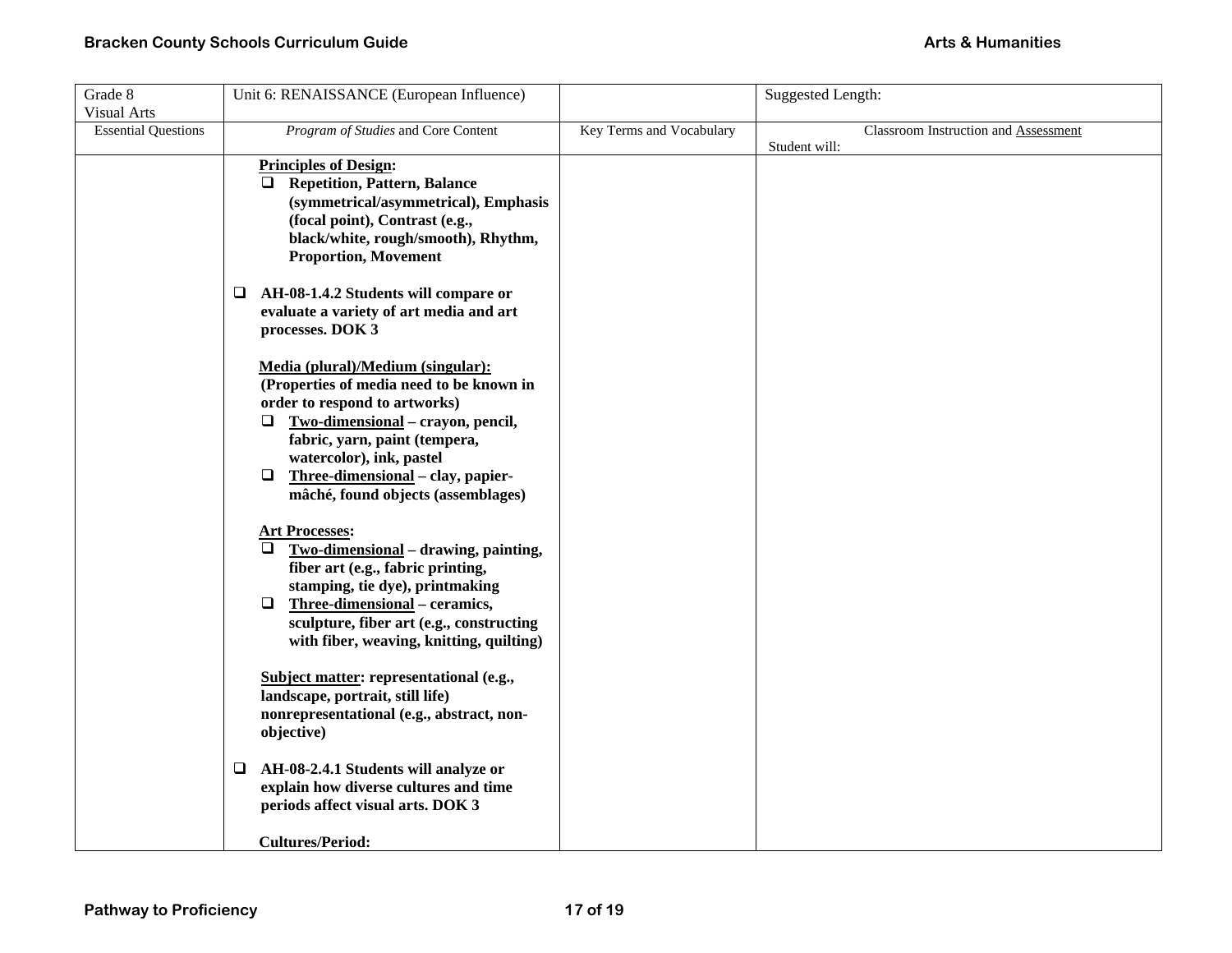| Grade 8<br><b>Visual Arts</b> | Unit 6: RENAISSANCE (European Influence)                                                                                                                                                                                                                                                                                                                                             |                          | <b>Suggested Length:</b>                              |
|-------------------------------|--------------------------------------------------------------------------------------------------------------------------------------------------------------------------------------------------------------------------------------------------------------------------------------------------------------------------------------------------------------------------------------|--------------------------|-------------------------------------------------------|
| <b>Essential Questions</b>    | Program of Studies and Core Content                                                                                                                                                                                                                                                                                                                                                  | Key Terms and Vocabulary | Classroom Instruction and Assessment<br>Student will: |
|                               | <b>Principles of Design:</b><br>Repetition, Pattern, Balance<br>(symmetrical/asymmetrical), Emphasis<br>(focal point), Contrast (e.g.,<br>black/white, rough/smooth), Rhythm,<br><b>Proportion, Movement</b>                                                                                                                                                                         |                          |                                                       |
|                               | AH-08-1.4.2 Students will compare or<br>□<br>evaluate a variety of art media and art<br>processes. DOK 3                                                                                                                                                                                                                                                                             |                          |                                                       |
|                               | Media (plural)/Medium (singular):<br>(Properties of media need to be known in<br>order to respond to artworks)<br>$\Box$ Two-dimensional – crayon, pencil,<br>fabric, yarn, paint (tempera,<br>watercolor), ink, pastel<br>$\Box$ Three-dimensional – clay, papier-<br>mâché, found objects (assemblages)<br><b>Art Processes:</b><br>Two-dimensional - drawing, painting,<br>$\Box$ |                          |                                                       |
|                               | fiber art (e.g., fabric printing,<br>stamping, tie dye), printmaking<br>$\Box$<br>Three-dimensional – ceramics,<br>sculpture, fiber art (e.g., constructing<br>with fiber, weaving, knitting, quilting)                                                                                                                                                                              |                          |                                                       |
|                               | Subject matter: representational (e.g.,<br>landscape, portrait, still life)<br>nonrepresentational (e.g., abstract, non-<br>objective)                                                                                                                                                                                                                                               |                          |                                                       |
|                               | AH-08-2.4.1 Students will analyze or<br>⊔<br>explain how diverse cultures and time<br>periods affect visual arts. DOK 3                                                                                                                                                                                                                                                              |                          |                                                       |
|                               | <b>Cultures/Period:</b>                                                                                                                                                                                                                                                                                                                                                              |                          |                                                       |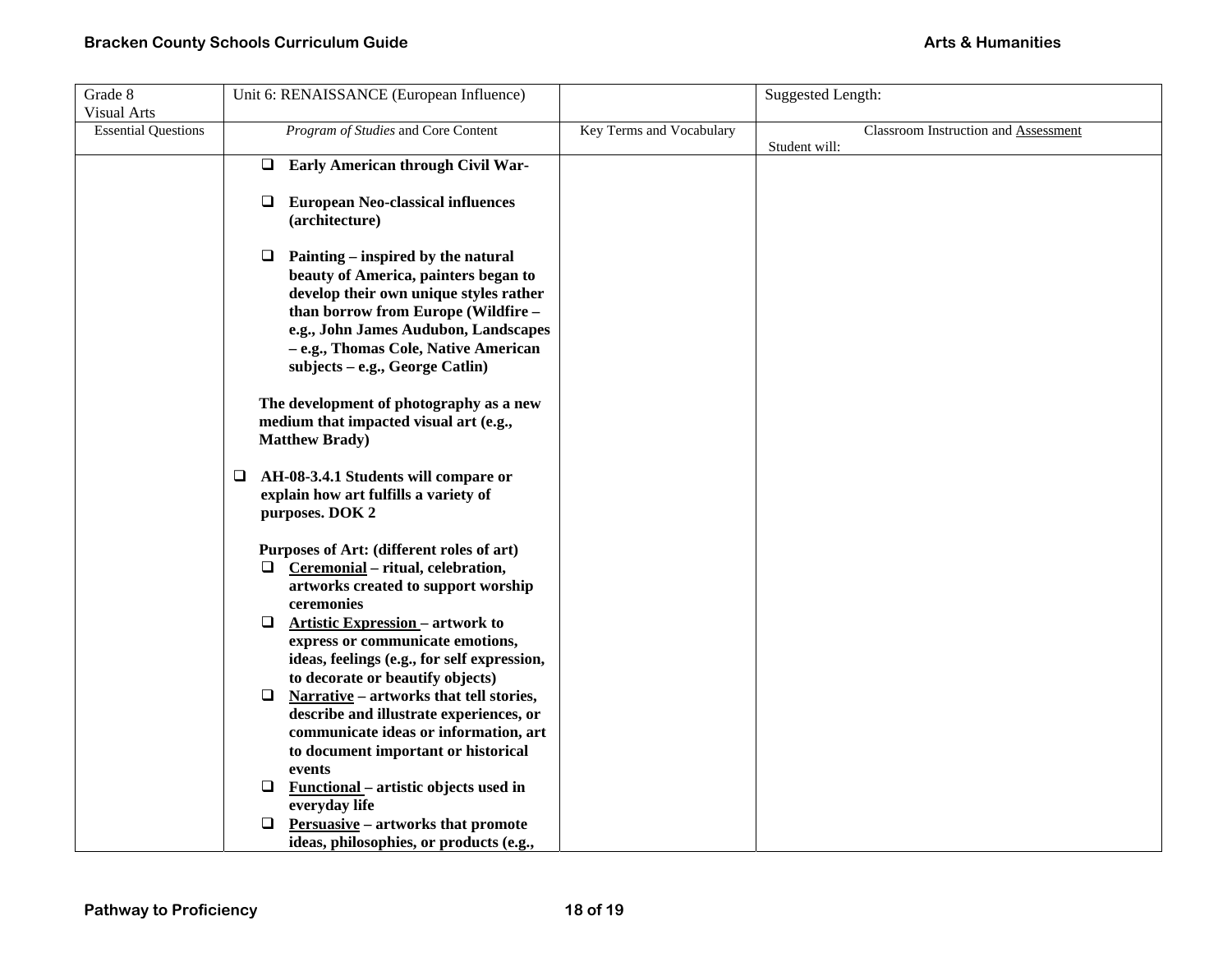| Grade 8                    | Unit 6: RENAISSANCE (European Influence)           |                          | Suggested Length:                    |
|----------------------------|----------------------------------------------------|--------------------------|--------------------------------------|
| <b>Visual Arts</b>         |                                                    |                          |                                      |
| <b>Essential Questions</b> | Program of Studies and Core Content                | Key Terms and Vocabulary | Classroom Instruction and Assessment |
|                            |                                                    |                          | Student will:                        |
|                            | <b>Early American through Civil War-</b><br>$\Box$ |                          |                                      |
|                            |                                                    |                          |                                      |
|                            | <b>European Neo-classical influences</b><br>⊔      |                          |                                      |
|                            | (architecture)                                     |                          |                                      |
|                            | $\Box$<br>Painting – inspired by the natural       |                          |                                      |
|                            | beauty of America, painters began to               |                          |                                      |
|                            | develop their own unique styles rather             |                          |                                      |
|                            | than borrow from Europe (Wildfire -                |                          |                                      |
|                            | e.g., John James Audubon, Landscapes               |                          |                                      |
|                            | - e.g., Thomas Cole, Native American               |                          |                                      |
|                            | subjects – e.g., George Catlin)                    |                          |                                      |
|                            |                                                    |                          |                                      |
|                            | The development of photography as a new            |                          |                                      |
|                            | medium that impacted visual art (e.g.,             |                          |                                      |
|                            | <b>Matthew Brady</b> )                             |                          |                                      |
|                            |                                                    |                          |                                      |
|                            | □<br>AH-08-3.4.1 Students will compare or          |                          |                                      |
|                            | explain how art fulfills a variety of              |                          |                                      |
|                            | purposes. DOK 2                                    |                          |                                      |
|                            | Purposes of Art: (different roles of art)          |                          |                                      |
|                            | Ceremonial - ritual, celebration,<br>❏.            |                          |                                      |
|                            | artworks created to support worship                |                          |                                      |
|                            | ceremonies                                         |                          |                                      |
|                            | <b>Artistic Expression - artwork to</b><br>❏       |                          |                                      |
|                            | express or communicate emotions,                   |                          |                                      |
|                            | ideas, feelings (e.g., for self expression,        |                          |                                      |
|                            | to decorate or beautify objects)                   |                          |                                      |
|                            | ❏<br>Narrative - artworks that tell stories,       |                          |                                      |
|                            | describe and illustrate experiences, or            |                          |                                      |
|                            | communicate ideas or information, art              |                          |                                      |
|                            | to document important or historical                |                          |                                      |
|                            | events                                             |                          |                                      |
|                            | Functional – artistic objects used in<br>❏         |                          |                                      |
|                            | everyday life                                      |                          |                                      |
|                            | <b>Persuasive</b> – artworks that promote<br>❏     |                          |                                      |
|                            | ideas, philosophies, or products (e.g.,            |                          |                                      |